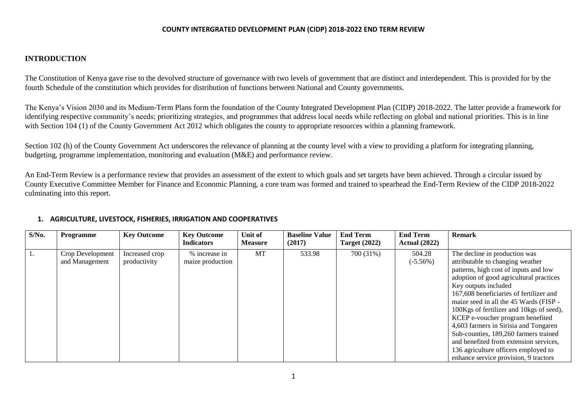#### **INTRODUCTION**

The Constitution of Kenya gave rise to the devolved structure of governance with two levels of government that are distinct and interdependent. This is provided for by the fourth Schedule of the constitution which provides for distribution of functions between National and County governments.

The Kenya's Vision 2030 and its Medium-Term Plans form the foundation of the County Integrated Development Plan (CIDP) 2018-2022. The latter provide a framework for identifying respective community's needs; prioritizing strategies, and programmes that address local needs while reflecting on global and national priorities. This is in line with Section 104 (1) of the County Government Act 2012 which obligates the county to appropriate resources within a planning framework.

Section 102 (h) of the County Government Act underscores the relevance of planning at the county level with a view to providing a platform for integrating planning, budgeting, programme implementation, monitoring and evaluation (M&E) and performance review.

An End-Term Review is a performance review that provides an assessment of the extent to which goals and set targets have been achieved. Through a circular issued by County Executive Committee Member for Finance and Economic Planning, a core team was formed and trained to spearhead the End-Term Review of the CIDP 2018-2022 culminating into this report.

#### **1. AGRICULTURE, LIVESTOCK, FISHERIES, IRRIGATION AND COOPERATIVES**

| $S/N0$ . | Programme                          | <b>Key Outcome</b>             | <b>Key Outcome</b><br><b>Indicators</b> | Unit of<br><b>Measure</b> | <b>Baseline Value</b><br>(2017) | <b>End Term</b><br><b>Target (2022)</b> | <b>End Term</b><br><b>Actual</b> (2022) | <b>Remark</b>                                                                                                                                                                                                                                                                                                                                                                                                                                                                                                                                                   |
|----------|------------------------------------|--------------------------------|-----------------------------------------|---------------------------|---------------------------------|-----------------------------------------|-----------------------------------------|-----------------------------------------------------------------------------------------------------------------------------------------------------------------------------------------------------------------------------------------------------------------------------------------------------------------------------------------------------------------------------------------------------------------------------------------------------------------------------------------------------------------------------------------------------------------|
|          | Crop Development<br>and Management | Increased crop<br>productivity | % increase in<br>maize production       | MT                        | 533.98                          | 700 (31%)                               | 504.28<br>$(-5.56\%)$                   | The decline in production was<br>attributable to changing weather<br>patterns, high cost of inputs and low<br>adoption of good agricultural practices<br>Key outputs included<br>167,608 beneficiaries of fertilizer and<br>maize seed in all the 45 Wards (FISP -<br>100Kgs of fertilizer and 10kgs of seed),<br>KCEP e-voucher program benefited<br>4,603 farmers in Sirisia and Tongaren<br>Sub-counties, 189,260 farmers trained<br>and benefited from extension services,<br>136 agriculture officers employed to<br>enhance service provision, 9 tractors |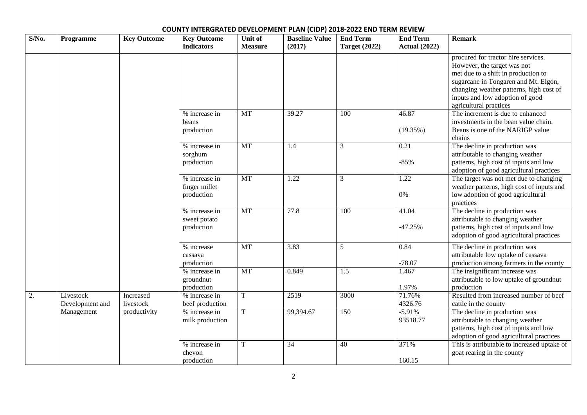| $S/N0$ . | Programme                    | <b>Key Outcome</b>     | <b>Key Outcome</b><br><b>Indicators</b>      | Unit of<br><b>Measure</b> | <b>Baseline Value</b><br>(2017) | <b>End Term</b><br><b>Target (2022)</b> | <b>End Term</b><br><b>Actual (2022)</b> | <b>Remark</b>                                                                                                                                                                                                                                             |
|----------|------------------------------|------------------------|----------------------------------------------|---------------------------|---------------------------------|-----------------------------------------|-----------------------------------------|-----------------------------------------------------------------------------------------------------------------------------------------------------------------------------------------------------------------------------------------------------------|
|          |                              |                        |                                              |                           |                                 |                                         |                                         | procured for tractor hire services.<br>However, the target was not<br>met due to a shift in production to<br>sugarcane in Tongaren and Mt. Elgon,<br>changing weather patterns, high cost of<br>inputs and low adoption of good<br>agricultural practices |
|          |                              |                        | % increase in<br>beans<br>production         | <b>MT</b>                 | $\overline{39.27}$              | 100                                     | 46.87<br>(19.35%)                       | The increment is due to enhanced<br>investments in the bean value chain.<br>Beans is one of the NARIGP value<br>chains                                                                                                                                    |
|          |                              |                        | % increase in<br>sorghum<br>production       | MT                        | 1.4                             | 3                                       | 0.21<br>$-85%$                          | The decline in production was<br>attributable to changing weather<br>patterns, high cost of inputs and low<br>adoption of good agricultural practices                                                                                                     |
|          |                              |                        | % increase in<br>finger millet<br>production | $\overline{MT}$           | 1.22                            | 3                                       | 1.22<br>0%                              | The target was not met due to changing<br>weather patterns, high cost of inputs and<br>low adoption of good agricultural<br>practices                                                                                                                     |
|          |                              |                        | % increase in<br>sweet potato<br>production  | MT                        | 77.8                            | 100                                     | 41.04<br>$-47.25%$                      | The decline in production was<br>attributable to changing weather<br>patterns, high cost of inputs and low<br>adoption of good agricultural practices                                                                                                     |
|          |                              |                        | % increase<br>cassava<br>production          | <b>MT</b>                 | 3.83                            | 5                                       | 0.84<br>$-78.07$                        | The decline in production was<br>attributable low uptake of cassava<br>production among farmers in the county                                                                                                                                             |
|          |                              |                        | % increase in<br>groundnut<br>production     | MT                        | 0.849                           | 1.5                                     | 1.467<br>1.97%                          | The insignificant increase was<br>attributable to low uptake of groundnut<br>production                                                                                                                                                                   |
| 2.       | Livestock<br>Development and | Increased<br>livestock | % increase in<br>beef production             | $\overline{\mathrm{T}}$   | 2519                            | 3000                                    | 71.76%<br>4326.76                       | Resulted from increased number of beef<br>cattle in the county                                                                                                                                                                                            |
|          | Management                   | productivity           | % increase in<br>milk production             | $\overline{T}$            | 99,394.67                       | 150                                     | $-5.91%$<br>93518.77                    | The decline in production was<br>attributable to changing weather<br>patterns, high cost of inputs and low<br>adoption of good agricultural practices                                                                                                     |
|          |                              |                        | % increase in<br>chevon<br>production        | $\mathbf T$               | 34                              | 40                                      | 371%<br>160.15                          | This is attributable to increased uptake of<br>goat rearing in the county                                                                                                                                                                                 |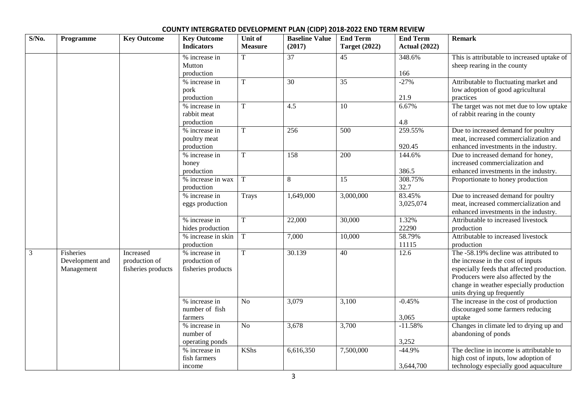| $S/N0$ .       | Programme                                         | <b>Key Outcome</b>                               | <b>Key Outcome</b><br><b>Indicators</b>              | Unit of<br><b>Measure</b> | <b>Baseline Value</b><br>(2017) | <b>End Term</b><br><b>Target (2022)</b> | <b>End Term</b><br><b>Actual (2022)</b> | <b>Remark</b>                                                                                                                                                                                                                             |
|----------------|---------------------------------------------------|--------------------------------------------------|------------------------------------------------------|---------------------------|---------------------------------|-----------------------------------------|-----------------------------------------|-------------------------------------------------------------------------------------------------------------------------------------------------------------------------------------------------------------------------------------------|
|                |                                                   |                                                  | % increase in<br>Mutton<br>production                | T                         | 37                              | 45                                      | 348.6%<br>166                           | This is attributable to increased uptake of<br>sheep rearing in the county                                                                                                                                                                |
|                |                                                   |                                                  | % increase in<br>pork<br>production                  | $\mathbf T$               | $\overline{30}$                 | $\overline{35}$                         | $-27%$<br>21.9                          | Attributable to fluctuating market and<br>low adoption of good agricultural<br>practices                                                                                                                                                  |
|                |                                                   |                                                  | % increase in<br>rabbit meat<br>production           | $\mathbf T$               | 4.5                             | $\overline{10}$                         | 6.67%<br>4.8                            | The target was not met due to low uptake<br>of rabbit rearing in the county                                                                                                                                                               |
|                |                                                   |                                                  | % increase in<br>poultry meat<br>production          | $\overline{T}$            | 256                             | $\overline{500}$                        | 259.55%<br>920.45                       | Due to increased demand for poultry<br>meat, increased commercialization and<br>enhanced investments in the industry.                                                                                                                     |
|                |                                                   |                                                  | % increase in<br>honey<br>production                 | T                         | 158                             | $\overline{200}$                        | 144.6%<br>386.5                         | Due to increased demand for honey,<br>increased commercialization and<br>enhanced investments in the industry.                                                                                                                            |
|                |                                                   |                                                  | % increase in wax<br>production                      | $\mathbf T$               | $\,8\,$                         | $\overline{15}$                         | 308.75%<br>32.7                         | Proportionate to honey production                                                                                                                                                                                                         |
|                |                                                   |                                                  | % increase in<br>eggs production                     | Trays                     | 1,649,000                       | 3,000,000                               | 83.45%<br>3,025,074                     | Due to increased demand for poultry<br>meat, increased commercialization and<br>enhanced investments in the industry.                                                                                                                     |
|                |                                                   |                                                  | % increase in<br>hides production                    | T                         | 22,000                          | 30,000                                  | 1.32%<br>22290                          | Attributable to increased livestock<br>production                                                                                                                                                                                         |
|                |                                                   |                                                  | $\frac{9}{6}$ increase in skin<br>production         | T                         | 7,000                           | 10,000                                  | 58.79%<br>11115                         | Attributable to increased livestock<br>production                                                                                                                                                                                         |
| $\mathfrak{Z}$ | <b>Fisheries</b><br>Development and<br>Management | Increased<br>production of<br>fisheries products | % increase in<br>production of<br>fisheries products | $\overline{T}$            | 30.139                          | 40                                      | 12.6                                    | The -58.19% decline was attributed to<br>the increase in the cost of inputs<br>especially feeds that affected production.<br>Producers were also affected by the<br>change in weather especially production<br>units drying up frequently |
|                |                                                   |                                                  | % increase in<br>number of fish<br>farmers           | N <sub>o</sub>            | 3,079                           | 3,100                                   | $-0.45%$<br>3,065                       | The increase in the cost of production<br>discouraged some farmers reducing<br>uptake                                                                                                                                                     |
|                |                                                   |                                                  | % increase in<br>number of<br>operating ponds        | N <sub>o</sub>            | 3,678                           | 3,700                                   | $-11.58%$<br>3,252                      | Changes in climate led to drying up and<br>abandoning of ponds                                                                                                                                                                            |
|                |                                                   |                                                  | % increase in<br>fish farmers<br>income              | <b>KShs</b>               | 6,616,350                       | 7,500,000                               | $-44.9%$<br>3,644,700                   | The decline in income is attributable to<br>high cost of inputs, low adoption of<br>technology especially good aquaculture                                                                                                                |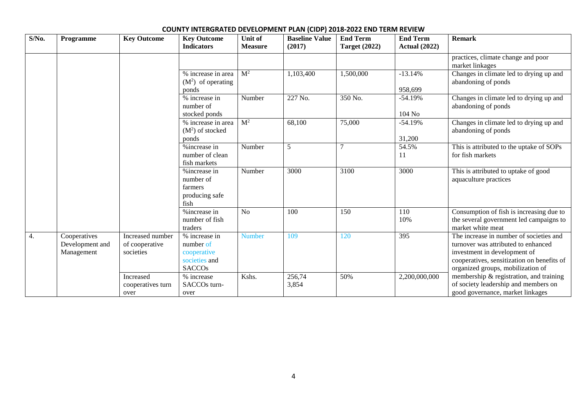| $S/N0$ . | Programme                                     | <b>Key Outcome</b>                              | <b>Key Outcome</b><br><b>Indicators</b>                                     | Unit of<br><b>Measure</b> | <b>Baseline Value</b><br>(2017) | <b>End Term</b><br><b>Target (2022)</b> | <b>End Term</b><br><b>Actual (2022)</b> | <b>Remark</b>                                                                                                                                                                                     |
|----------|-----------------------------------------------|-------------------------------------------------|-----------------------------------------------------------------------------|---------------------------|---------------------------------|-----------------------------------------|-----------------------------------------|---------------------------------------------------------------------------------------------------------------------------------------------------------------------------------------------------|
|          |                                               |                                                 |                                                                             |                           |                                 |                                         |                                         | practices, climate change and poor<br>market linkages                                                                                                                                             |
|          |                                               |                                                 | % increase in area<br>$(M2)$ of operating<br>ponds                          | M <sup>2</sup>            | 1,103,400                       | 1,500,000                               | $-13.14%$<br>958,699                    | Changes in climate led to drying up and<br>abandoning of ponds                                                                                                                                    |
|          |                                               |                                                 | % increase in<br>number of<br>stocked ponds                                 | Number                    | 227 No.                         | 350 No.                                 | $-54.19%$<br>104 No                     | Changes in climate led to drying up and<br>abandoning of ponds                                                                                                                                    |
|          |                                               |                                                 | % increase in area<br>$(M2)$ of stocked<br>ponds                            | M <sup>2</sup>            | 68,100                          | 75,000                                  | $-54.19%$<br>31,200                     | Changes in climate led to drying up and<br>abandoning of ponds                                                                                                                                    |
|          |                                               |                                                 | %increase in<br>number of clean<br>fish markets                             | Number                    | 5                               |                                         | 54.5%<br>11                             | This is attributed to the uptake of SOPs<br>for fish markets                                                                                                                                      |
|          |                                               |                                                 | % increase in<br>number of<br>farmers<br>producing safe<br>fish             | Number                    | 3000                            | 3100                                    | 3000                                    | This is attributed to uptake of good<br>aquaculture practices                                                                                                                                     |
|          |                                               |                                                 | %increase in<br>number of fish<br>traders                                   | N <sub>o</sub>            | 100                             | 150                                     | 110<br>10%                              | Consumption of fish is increasing due to<br>the several government led campaigns to<br>market white meat                                                                                          |
| 4.       | Cooperatives<br>Development and<br>Management | Increased number<br>of cooperative<br>societies | % increase in<br>number of<br>cooperative<br>societies and<br><b>SACCOs</b> | <b>Number</b>             | 109                             | 120                                     | 395                                     | The increase in number of societies and<br>turnover was attributed to enhanced<br>investment in development of<br>cooperatives, sensitization on benefits of<br>organized groups, mobilization of |
|          |                                               | Increased<br>cooperatives turn<br>over          | % increase<br>SACCO <sub>s</sub> turn-<br>over                              | Kshs.                     | 256,74<br>3,854                 | 50%                                     | 2,200,000,000                           | membership & registration, and training<br>of society leadership and members on<br>good governance, market linkages                                                                               |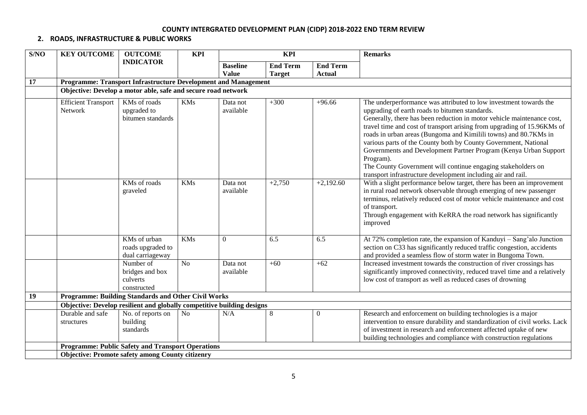### **2. ROADS, INFRASTRUCTURE & PUBLIC WORKS**

| S/NO | <b>KEY OUTCOME</b>                                                     | <b>OUTCOME</b>                                                 | <b>KPI</b> | <b>KPI</b>            |                 |                  | <b>Remarks</b>                                                                                                                                                                                                                                                                                                                                                                                                                                                                                                                                                                                                                   |  |
|------|------------------------------------------------------------------------|----------------------------------------------------------------|------------|-----------------------|-----------------|------------------|----------------------------------------------------------------------------------------------------------------------------------------------------------------------------------------------------------------------------------------------------------------------------------------------------------------------------------------------------------------------------------------------------------------------------------------------------------------------------------------------------------------------------------------------------------------------------------------------------------------------------------|--|
|      |                                                                        | <b>INDICATOR</b>                                               |            | <b>Baseline</b>       | <b>End Term</b> | <b>End Term</b>  |                                                                                                                                                                                                                                                                                                                                                                                                                                                                                                                                                                                                                                  |  |
|      |                                                                        |                                                                |            | <b>Value</b>          | <b>Target</b>   | <b>Actual</b>    |                                                                                                                                                                                                                                                                                                                                                                                                                                                                                                                                                                                                                                  |  |
| 17   |                                                                        | Programme: Transport Infrastructure Development and Management |            |                       |                 |                  |                                                                                                                                                                                                                                                                                                                                                                                                                                                                                                                                                                                                                                  |  |
|      |                                                                        | Objective: Develop a motor able, safe and secure road network  |            |                       |                 |                  |                                                                                                                                                                                                                                                                                                                                                                                                                                                                                                                                                                                                                                  |  |
|      | <b>Efficient Transport</b><br>Network                                  | KMs of roads<br>upgraded to<br>bitumen standards               | <b>KMs</b> | Data not<br>available | $+300$          | $+96.66$         | The underperformance was attributed to low investment towards the<br>upgrading of earth roads to bitumen standards.<br>Generally, there has been reduction in motor vehicle maintenance cost,<br>travel time and cost of transport arising from upgrading of 15.96KMs of<br>roads in urban areas (Bungoma and Kimilili towns) and 80.7KMs in<br>various parts of the County both by County Government, National<br>Governments and Development Partner Program (Kenya Urban Support<br>Program).<br>The County Government will continue engaging stakeholders on<br>transport infrastructure development including air and rail. |  |
|      |                                                                        | KMs of roads<br>graveled                                       | <b>KMs</b> | Data not<br>available | $+2,750$        | $+2,192.60$      | With a slight performance below target, there has been an improvement<br>in rural road network observable through emerging of new passenger<br>terminus, relatively reduced cost of motor vehicle maintenance and cost<br>of transport.<br>Through engagement with KeRRA the road network has significantly<br>improved                                                                                                                                                                                                                                                                                                          |  |
|      |                                                                        | KMs of urban<br>roads upgraded to<br>dual carriageway          | <b>KMs</b> | $\overline{0}$        | 6.5             | 6.5              | At 72% completion rate, the expansion of Kanduyi – Sang'alo Junction<br>section on C33 has significantly reduced traffic congestion, accidents<br>and provided a seamless flow of storm water in Bungoma Town.                                                                                                                                                                                                                                                                                                                                                                                                                   |  |
|      |                                                                        | Number of<br>bridges and box<br>culverts<br>constructed        | No         | Data not<br>available | $+60$           | $+62$            | Increased investment towards the construction of river crossings has<br>significantly improved connectivity, reduced travel time and a relatively<br>low cost of transport as well as reduced cases of drowning                                                                                                                                                                                                                                                                                                                                                                                                                  |  |
| 19   |                                                                        | Programme: Building Standards and Other Civil Works            |            |                       |                 |                  |                                                                                                                                                                                                                                                                                                                                                                                                                                                                                                                                                                                                                                  |  |
|      | Objective: Develop resilient and globally competitive building designs |                                                                |            |                       |                 |                  |                                                                                                                                                                                                                                                                                                                                                                                                                                                                                                                                                                                                                                  |  |
|      | Durable and safe<br>structures                                         | No. of reports on<br>building<br>standards                     | No         | N/A                   | 8               | $\boldsymbol{0}$ | Research and enforcement on building technologies is a major<br>intervention to ensure durability and standardization of civil works. Lack<br>of investment in research and enforcement affected uptake of new<br>building technologies and compliance with construction regulations                                                                                                                                                                                                                                                                                                                                             |  |
|      |                                                                        | <b>Programme: Public Safety and Transport Operations</b>       |            |                       |                 |                  |                                                                                                                                                                                                                                                                                                                                                                                                                                                                                                                                                                                                                                  |  |
|      |                                                                        | <b>Objective: Promote safety among County citizenry</b>        |            |                       |                 |                  |                                                                                                                                                                                                                                                                                                                                                                                                                                                                                                                                                                                                                                  |  |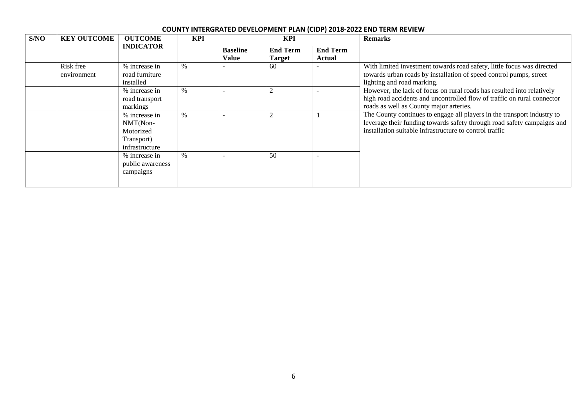| S/NO | <b>KEY OUTCOME</b>       | <b>OUTCOME</b>                                                         | <b>KPI</b>    |                          | <b>KPI</b>                       |                           | <b>Remarks</b>                                                                                                                                                                                                |
|------|--------------------------|------------------------------------------------------------------------|---------------|--------------------------|----------------------------------|---------------------------|---------------------------------------------------------------------------------------------------------------------------------------------------------------------------------------------------------------|
|      |                          | <b>INDICATOR</b>                                                       |               | <b>Baseline</b><br>Value | <b>End Term</b><br><b>Target</b> | <b>End Term</b><br>Actual |                                                                                                                                                                                                               |
|      | Risk free<br>environment | % increase in<br>road furniture<br>installed                           | $\%$          |                          | 60                               |                           | With limited investment towards road safety, little focus was directed<br>towards urban roads by installation of speed control pumps, street<br>lighting and road marking.                                    |
|      |                          | % increase in<br>road transport<br>markings                            | $\%$          |                          |                                  |                           | However, the lack of focus on rural roads has resulted into relatively<br>high road accidents and uncontrolled flow of traffic on rural connector<br>roads as well as County major arteries.                  |
|      |                          | % increase in<br>NMT(Non-<br>Motorized<br>Transport)<br>infrastructure | $\frac{0}{0}$ |                          |                                  |                           | The County continues to engage all players in the transport industry to<br>leverage their funding towards safety through road safety campaigns and<br>installation suitable infrastructure to control traffic |
|      |                          | % increase in<br>public awareness<br>campaigns                         | $\%$          |                          | 50                               |                           |                                                                                                                                                                                                               |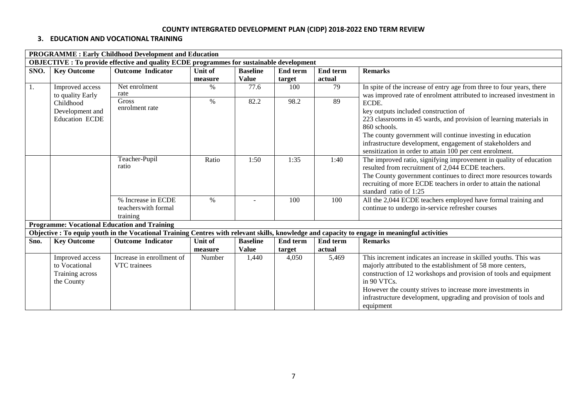## **3. EDUCATION AND VOCATIONAL TRAINING**

|      |                                                                                                 | <b>PROGRAMME: Early Childhood Development and Education</b> |         |                   |                 |                 |                                                                                                                                               |  |  |  |  |  |
|------|-------------------------------------------------------------------------------------------------|-------------------------------------------------------------|---------|-------------------|-----------------|-----------------|-----------------------------------------------------------------------------------------------------------------------------------------------|--|--|--|--|--|
|      | <b>OBJECTIVE : To provide effective and quality ECDE programmes for sustainable development</b> |                                                             |         |                   |                 |                 |                                                                                                                                               |  |  |  |  |  |
| SNO. | <b>Key Outcome</b>                                                                              | <b>Outcome Indicator</b>                                    | Unit of | <b>Baseline</b>   | <b>End term</b> | <b>End term</b> | <b>Remarks</b>                                                                                                                                |  |  |  |  |  |
|      |                                                                                                 |                                                             | measure | <b>Value</b>      | target          | actual          |                                                                                                                                               |  |  |  |  |  |
| 1.   | Improved access                                                                                 | Net enrolment                                               | $\%$    | 77.6              | 100             | 79              | In spite of the increase of entry age from three to four years, there                                                                         |  |  |  |  |  |
|      | to quality Early                                                                                | rate                                                        |         |                   |                 |                 | was improved rate of enrolment attributed to increased investment in                                                                          |  |  |  |  |  |
|      | Childhood                                                                                       | <b>Gross</b>                                                | $\%$    | $\overline{82.2}$ | 98.2            | 89              | ECDE.                                                                                                                                         |  |  |  |  |  |
|      | Development and                                                                                 | enrolment rate                                              |         |                   |                 |                 | key outputs included construction of                                                                                                          |  |  |  |  |  |
|      | <b>Education ECDE</b>                                                                           |                                                             |         |                   |                 |                 | 223 classrooms in 45 wards, and provision of learning materials in                                                                            |  |  |  |  |  |
|      |                                                                                                 |                                                             |         |                   |                 |                 | 860 schools.                                                                                                                                  |  |  |  |  |  |
|      |                                                                                                 |                                                             |         |                   |                 |                 | The county government will continue investing in education                                                                                    |  |  |  |  |  |
|      |                                                                                                 |                                                             |         |                   |                 |                 | infrastructure development, engagement of stakeholders and                                                                                    |  |  |  |  |  |
|      |                                                                                                 |                                                             |         |                   |                 |                 | sensitization in order to attain 100 per cent enrolment.                                                                                      |  |  |  |  |  |
|      |                                                                                                 | Teacher-Pupil                                               | Ratio   | 1:50              | 1:35            | 1:40            | The improved ratio, signifying improvement in quality of education                                                                            |  |  |  |  |  |
|      |                                                                                                 | ratio                                                       |         |                   |                 |                 | resulted from recruitment of 2,044 ECDE teachers.                                                                                             |  |  |  |  |  |
|      |                                                                                                 |                                                             |         |                   |                 |                 | The County government continues to direct more resources towards                                                                              |  |  |  |  |  |
|      |                                                                                                 |                                                             |         |                   |                 |                 | recruiting of more ECDE teachers in order to attain the national                                                                              |  |  |  |  |  |
|      |                                                                                                 |                                                             |         |                   |                 |                 | standard ratio of 1:25                                                                                                                        |  |  |  |  |  |
|      |                                                                                                 | % Increase in ECDE                                          | $\%$    |                   | 100             | 100             | All the 2,044 ECDE teachers employed have formal training and                                                                                 |  |  |  |  |  |
|      |                                                                                                 | teachers with formal                                        |         |                   |                 |                 | continue to undergo in-service refresher courses                                                                                              |  |  |  |  |  |
|      |                                                                                                 | training                                                    |         |                   |                 |                 |                                                                                                                                               |  |  |  |  |  |
|      |                                                                                                 | <b>Programme: Vocational Education and Training</b>         |         |                   |                 |                 |                                                                                                                                               |  |  |  |  |  |
|      |                                                                                                 |                                                             |         |                   |                 |                 | Objective : To equip youth in the Vocational Training Centres with relevant skills, knowledge and capacity to engage in meaningful activities |  |  |  |  |  |
| Sno. | <b>Key Outcome</b>                                                                              | <b>Outcome Indicator</b>                                    | Unit of | <b>Baseline</b>   | <b>End term</b> | <b>End term</b> | <b>Remarks</b>                                                                                                                                |  |  |  |  |  |
|      |                                                                                                 |                                                             | measure | <b>Value</b>      | target          | actual          |                                                                                                                                               |  |  |  |  |  |
|      | Improved access                                                                                 | Increase in enrollment of                                   | Number  | 1,440             | 4,050           | 5,469           | This increment indicates an increase in skilled youths. This was                                                                              |  |  |  |  |  |
|      | to Vocational                                                                                   | VTC trainees                                                |         |                   |                 |                 | majorly attributed to the establishment of 58 more centers,                                                                                   |  |  |  |  |  |
|      | Training across                                                                                 |                                                             |         |                   |                 |                 | construction of 12 workshops and provision of tools and equipment                                                                             |  |  |  |  |  |
|      | the County                                                                                      |                                                             |         |                   |                 |                 | in 90 VTCs.                                                                                                                                   |  |  |  |  |  |
|      |                                                                                                 |                                                             |         |                   |                 |                 | However the county strives to increase more investments in                                                                                    |  |  |  |  |  |
|      |                                                                                                 |                                                             |         |                   |                 |                 | infrastructure development, upgrading and provision of tools and                                                                              |  |  |  |  |  |
|      |                                                                                                 |                                                             |         |                   |                 |                 | equipment                                                                                                                                     |  |  |  |  |  |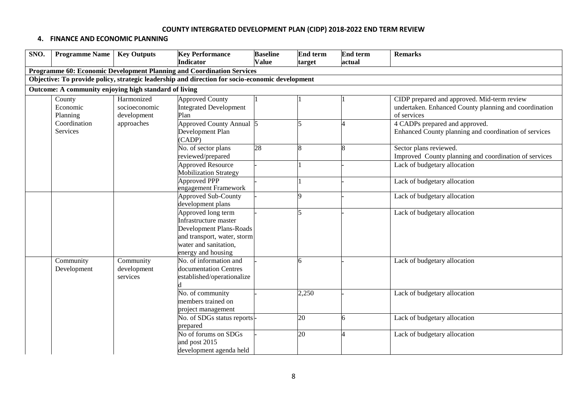#### **4. FINANCE AND ECONOMIC PLANNING**

| SNO. | <b>Programme Name</b>                                 | <b>Key Outputs</b>                         | <b>Key Performance</b>                                                                                                                               | <b>Baseline</b> | <b>End term</b> | <b>End term</b> | <b>Remarks</b>                                                                                                      |  |  |  |  |
|------|-------------------------------------------------------|--------------------------------------------|------------------------------------------------------------------------------------------------------------------------------------------------------|-----------------|-----------------|-----------------|---------------------------------------------------------------------------------------------------------------------|--|--|--|--|
|      |                                                       |                                            | Indicator                                                                                                                                            | <b>Value</b>    | target          | actual          |                                                                                                                     |  |  |  |  |
|      |                                                       |                                            | Programme 60: Economic Development Planning and Coordination Services                                                                                |                 |                 |                 |                                                                                                                     |  |  |  |  |
|      |                                                       |                                            | Objective: To provide policy, strategic leadership and direction for socio-economic development                                                      |                 |                 |                 |                                                                                                                     |  |  |  |  |
|      | Outcome: A community enjoying high standard of living |                                            |                                                                                                                                                      |                 |                 |                 |                                                                                                                     |  |  |  |  |
|      | County<br>Economic<br>Planning                        | Harmonized<br>socioeconomic<br>development | <b>Approved County</b><br><b>Integrated Development</b><br>Plan                                                                                      |                 |                 |                 | CIDP prepared and approved. Mid-term review<br>undertaken. Enhanced County planning and coordination<br>of services |  |  |  |  |
|      | Coordination<br>Services                              | approaches                                 | Approved County Annual 5<br>Development Plan<br>(CADP)                                                                                               |                 | 5               |                 | 4 CADPs prepared and approved.<br>Enhanced County planning and coordination of services                             |  |  |  |  |
|      |                                                       |                                            | No. of sector plans<br>reviewed/prepared                                                                                                             | 28              | 8               |                 | Sector plans reviewed.<br>Improved County planning and coordination of services                                     |  |  |  |  |
|      |                                                       |                                            | <b>Approved Resource</b><br><b>Mobilization Strategy</b>                                                                                             |                 |                 |                 | Lack of budgetary allocation                                                                                        |  |  |  |  |
|      |                                                       |                                            | <b>Approved PPP</b><br>engagement Framework                                                                                                          |                 |                 |                 | Lack of budgetary allocation                                                                                        |  |  |  |  |
|      |                                                       |                                            | <b>Approved Sub-County</b><br>development plans                                                                                                      |                 | Q               |                 | Lack of budgetary allocation                                                                                        |  |  |  |  |
|      |                                                       |                                            | Approved long term<br>Infrastructure master<br>Development Plans-Roads<br>and transport, water, storm<br>water and sanitation,<br>energy and housing |                 |                 |                 | Lack of budgetary allocation                                                                                        |  |  |  |  |
|      | Community<br>Development                              | Community<br>development<br>services       | No. of information and<br>documentation Centres<br>established/operationalize                                                                        |                 | 6               |                 | Lack of budgetary allocation                                                                                        |  |  |  |  |
|      |                                                       |                                            | No. of community<br>members trained on<br>project management                                                                                         |                 | 2,250           |                 | Lack of budgetary allocation                                                                                        |  |  |  |  |
|      |                                                       |                                            | No. of SDGs status reports-<br>prepared                                                                                                              |                 | 20              | 6               | Lack of budgetary allocation                                                                                        |  |  |  |  |
|      |                                                       |                                            | No of forums on SDGs<br>and post 2015<br>development agenda held                                                                                     |                 | 20              |                 | Lack of budgetary allocation                                                                                        |  |  |  |  |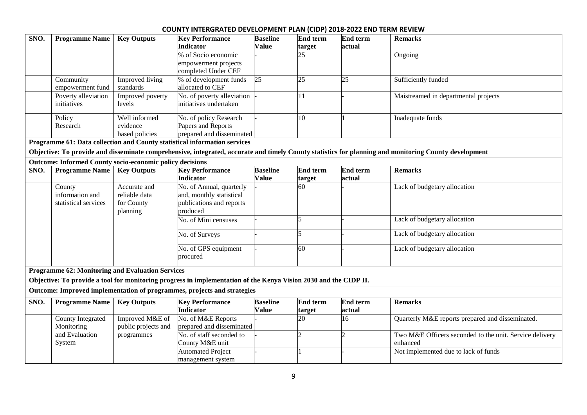| SNO. | <b>Programme Name</b>                                           | <b>Key Outputs</b>  | <b>Key Performance</b><br>Indicator                                                                              | <b>Baseline</b><br><b>Value</b> | <b>End term</b> | End term<br>actual | <b>Remarks</b>                                                                                                                                        |
|------|-----------------------------------------------------------------|---------------------|------------------------------------------------------------------------------------------------------------------|---------------------------------|-----------------|--------------------|-------------------------------------------------------------------------------------------------------------------------------------------------------|
|      |                                                                 |                     | % of Socio economic                                                                                              |                                 | target<br>25    |                    | Ongoing                                                                                                                                               |
|      |                                                                 |                     | empowerment projects                                                                                             |                                 |                 |                    |                                                                                                                                                       |
|      |                                                                 |                     | completed Under CEF                                                                                              |                                 |                 |                    |                                                                                                                                                       |
|      | Community                                                       | Improved living     | % of development funds                                                                                           | 25                              | 25              | 25                 | Sufficiently funded                                                                                                                                   |
|      | empowerment fund                                                | standards           | allocated to CEF                                                                                                 |                                 |                 |                    |                                                                                                                                                       |
|      | Poverty alleviation                                             | Improved poverty    | No. of poverty alleviation                                                                                       |                                 | 11              |                    | Maistreamed in departmental projects                                                                                                                  |
|      | initiatives                                                     | levels              | initiatives undertaken                                                                                           |                                 |                 |                    |                                                                                                                                                       |
|      | Policy                                                          | Well informed       | No. of policy Research                                                                                           |                                 | 10              |                    | Inadequate funds                                                                                                                                      |
|      | Research                                                        | evidence            | Papers and Reports                                                                                               |                                 |                 |                    |                                                                                                                                                       |
|      |                                                                 | based policies      | prepared and disseminated                                                                                        |                                 |                 |                    |                                                                                                                                                       |
|      |                                                                 |                     | Programme 61: Data collection and County statistical information services                                        |                                 |                 |                    |                                                                                                                                                       |
|      |                                                                 |                     |                                                                                                                  |                                 |                 |                    | Objective: To provide and disseminate comprehensive, integrated, accurate and timely County statistics for planning and monitoring County development |
|      | <b>Outcome: Informed County socio-economic policy decisions</b> |                     |                                                                                                                  |                                 |                 |                    |                                                                                                                                                       |
| SNO. | <b>Programme Name</b>                                           | <b>Key Outputs</b>  | <b>Key Performance</b>                                                                                           | <b>Baseline</b>                 | <b>End term</b> | <b>End term</b>    | <b>Remarks</b>                                                                                                                                        |
|      |                                                                 |                     | <b>Indicator</b>                                                                                                 | <b>Value</b>                    | target          | actual             |                                                                                                                                                       |
|      | County                                                          | Accurate and        | No. of Annual, quarterly                                                                                         |                                 | 60              |                    | Lack of budgetary allocation                                                                                                                          |
|      | information and                                                 | reliable data       | and, monthly statistical                                                                                         |                                 |                 |                    |                                                                                                                                                       |
|      | statistical services                                            | for County          | publications and reports<br>produced                                                                             |                                 |                 |                    |                                                                                                                                                       |
|      |                                                                 | planning            | No. of Mini censuses                                                                                             |                                 | 5               |                    | Lack of budgetary allocation                                                                                                                          |
|      |                                                                 |                     |                                                                                                                  |                                 |                 |                    |                                                                                                                                                       |
|      |                                                                 |                     | No. of Surveys                                                                                                   |                                 | 5               |                    | Lack of budgetary allocation                                                                                                                          |
|      |                                                                 |                     | No. of GPS equipment                                                                                             |                                 | 60              |                    | Lack of budgetary allocation                                                                                                                          |
|      |                                                                 |                     | procured                                                                                                         |                                 |                 |                    |                                                                                                                                                       |
|      | <b>Programme 62: Monitoring and Evaluation Services</b>         |                     |                                                                                                                  |                                 |                 |                    |                                                                                                                                                       |
|      |                                                                 |                     | Objective: To provide a tool for monitoring progress in implementation of the Kenya Vision 2030 and the CIDP II. |                                 |                 |                    |                                                                                                                                                       |
|      |                                                                 |                     |                                                                                                                  |                                 |                 |                    |                                                                                                                                                       |
|      |                                                                 |                     | Outcome: Improved implementation of programmes, projects and strategies                                          |                                 |                 |                    |                                                                                                                                                       |
| SNO. | <b>Programme Name</b>                                           | <b>Key Outputs</b>  | <b>Key Performance</b>                                                                                           | <b>Baseline</b>                 | End term        | <b>End term</b>    | <b>Remarks</b>                                                                                                                                        |
|      |                                                                 |                     | <b>Indicator</b>                                                                                                 | <b>Value</b>                    | target          | actual             |                                                                                                                                                       |
|      | <b>County Integrated</b>                                        | Improved M&E of     | No. of M&E Reports                                                                                               |                                 | 20              | $\overline{16}$    | Quarterly M&E reports prepared and disseminated.                                                                                                      |
|      | Monitoring                                                      | public projects and | prepared and disseminated<br>No. of staff seconded to                                                            |                                 |                 |                    |                                                                                                                                                       |
|      | and Evaluation                                                  | programmes          |                                                                                                                  |                                 |                 |                    | Two M&E Officers seconded to the unit. Service delivery                                                                                               |
|      | System                                                          |                     | County M&E unit<br><b>Automated Project</b>                                                                      |                                 |                 |                    | enhanced                                                                                                                                              |
|      |                                                                 |                     | management system                                                                                                |                                 |                 |                    | Not implemented due to lack of funds                                                                                                                  |
|      |                                                                 |                     |                                                                                                                  |                                 |                 |                    |                                                                                                                                                       |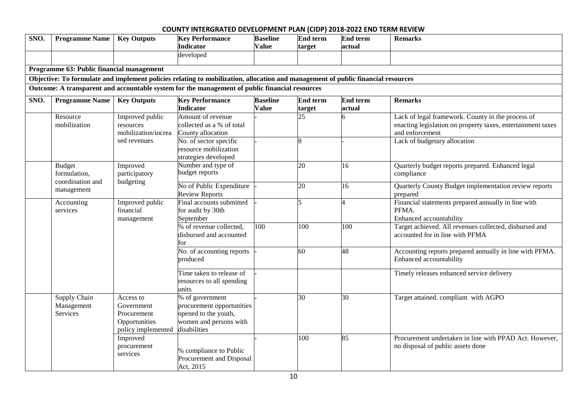| SNO. | <b>Programme Name</b>                             | <b>Key Outputs</b>                                                            | <b>Key Performance</b><br><b>Indicator</b><br>developed                                                                          | <b>Baseline</b><br><b>Value</b> | <b>End term</b><br>target | <b>End term</b><br>actual | <b>Remarks</b>                                                                                                                      |
|------|---------------------------------------------------|-------------------------------------------------------------------------------|----------------------------------------------------------------------------------------------------------------------------------|---------------------------------|---------------------------|---------------------------|-------------------------------------------------------------------------------------------------------------------------------------|
|      | Programme 63: Public financial management         |                                                                               |                                                                                                                                  |                                 |                           |                           |                                                                                                                                     |
|      |                                                   |                                                                               | Objective: To formulate and implement policies relating to mobilization, allocation and management of public financial resources |                                 |                           |                           |                                                                                                                                     |
|      |                                                   |                                                                               | Outcome: A transparent and accountable system for the management of public financial resources                                   |                                 |                           |                           |                                                                                                                                     |
| SNO. | <b>Programme Name</b>                             | <b>Key Outputs</b>                                                            | <b>Key Performance</b><br>Indicator                                                                                              | <b>Baseline</b><br><b>Value</b> | <b>End term</b><br>target | <b>End term</b><br>actual | <b>Remarks</b>                                                                                                                      |
|      | Resource<br>mobilization                          | Improved public<br>resources<br>mobilization/increa                           | Amount of revenue<br>collected as a % of total<br>County allocation                                                              |                                 | 25                        |                           | Lack of legal framework. County in the process of<br>enacting legislation on property taxes, entertainment taxes<br>and enforcement |
|      |                                                   | sed revenues                                                                  | No. of sector specific<br>resource mobilization<br>strategies developed                                                          |                                 | 8                         |                           | Lack of budgetary allocation                                                                                                        |
|      | <b>Budget</b><br>formulation,<br>coordination and | Improved<br>participatory<br>budgeting                                        | Number and type of<br>budget reports                                                                                             |                                 | 20                        | 16                        | Quarterly budget reports prepared. Enhanced legal<br>compliance                                                                     |
|      | management                                        |                                                                               | No of Public Expenditure<br><b>Review Reports</b>                                                                                |                                 | 20                        | 16                        | Quarterly County Budget implementation review reports<br>prepared                                                                   |
|      | Accounting<br>services                            | Improved public<br>financial<br>management                                    | Final accounts submitted<br>for audit by 30th<br>September                                                                       |                                 | 5                         | $\overline{A}$            | Financial statements prepared annually in line with<br>PFMA.<br>Enhanced accountability                                             |
|      |                                                   |                                                                               | % of revenue collected,<br>disbursed and accounted<br>for                                                                        | 100                             | 100                       | $\overline{100}$          | Target achieved. All revenues collected, disbursed and<br>accounted for in line with PFMA                                           |
|      |                                                   |                                                                               | No. of accounting reports<br>produced                                                                                            |                                 | 60                        | 48                        | Accounting reports prepared annually in line with PFMA.<br>Enhanced accountability                                                  |
|      |                                                   |                                                                               | Time taken to release of<br>resources to all spending<br>units                                                                   |                                 |                           |                           | Timely releases enhanced service delivery                                                                                           |
|      | Supply Chain<br>Management<br>Services            | Access to<br>Government<br>Procurement<br>Opportunities<br>policy implemented | % of government<br>procurement opportunities<br>opened to the youth,<br>women and persons with<br>disabilities                   |                                 | 30                        | 30                        | Target attained. compliant with AGPO                                                                                                |
|      |                                                   | Improved<br>procurement<br>services                                           | % compliance to Public<br>Procurement and Disposal<br>Act, 2015                                                                  |                                 | 100                       | 85                        | Procurement undertaken in line with PPAD Act. However,<br>no disposal of public assets done                                         |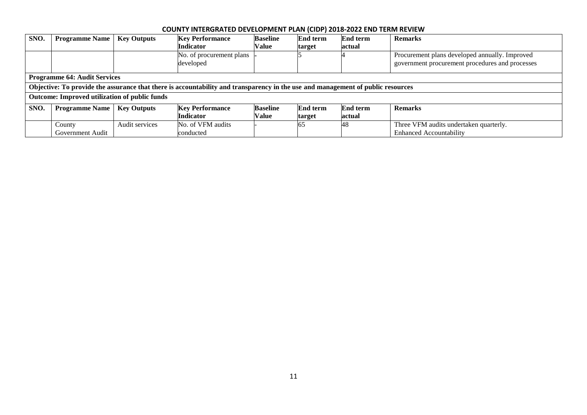| SNO. | <b>Programme Name</b>                                | <b>Key Outputs</b> | <b>Key Performance</b>                                                                                                          | <b>Baseline</b> | <b>End term</b> | <b>End term</b> | <b>Remarks</b>                                  |  |  |  |
|------|------------------------------------------------------|--------------------|---------------------------------------------------------------------------------------------------------------------------------|-----------------|-----------------|-----------------|-------------------------------------------------|--|--|--|
|      |                                                      |                    | <b>Indicator</b>                                                                                                                | Value           | target          | actual          |                                                 |  |  |  |
|      |                                                      |                    | No. of procurement plans                                                                                                        |                 |                 |                 | Procurement plans developed annually. Improved  |  |  |  |
|      |                                                      |                    | developed                                                                                                                       |                 |                 |                 | government procurement procedures and processes |  |  |  |
|      |                                                      |                    |                                                                                                                                 |                 |                 |                 |                                                 |  |  |  |
|      | <b>Programme 64: Audit Services</b>                  |                    |                                                                                                                                 |                 |                 |                 |                                                 |  |  |  |
|      |                                                      |                    | Objective: To provide the assurance that there is accountability and transparency in the use and management of public resources |                 |                 |                 |                                                 |  |  |  |
|      | <b>Outcome: Improved utilization of public funds</b> |                    |                                                                                                                                 |                 |                 |                 |                                                 |  |  |  |
| SNO. | <b>Programme Name</b>                                | <b>Key Outputs</b> | <b>Key Performance</b>                                                                                                          | <b>Baseline</b> | <b>End term</b> | <b>End term</b> | <b>Remarks</b>                                  |  |  |  |
|      |                                                      |                    | <b>Indicator</b>                                                                                                                | Value           | target          | actual          |                                                 |  |  |  |
|      | County                                               | Audit services     | No. of VFM audits                                                                                                               |                 | 65              | 48              | Three VFM audits undertaken quarterly.          |  |  |  |
|      | Government Audit                                     |                    | lconducted                                                                                                                      |                 |                 |                 | <b>Enhanced Accountability</b>                  |  |  |  |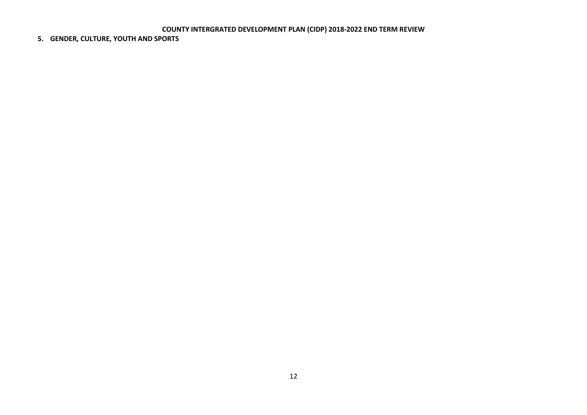## **5. GENDER, CULTURE, YOUTH AND SPORTS**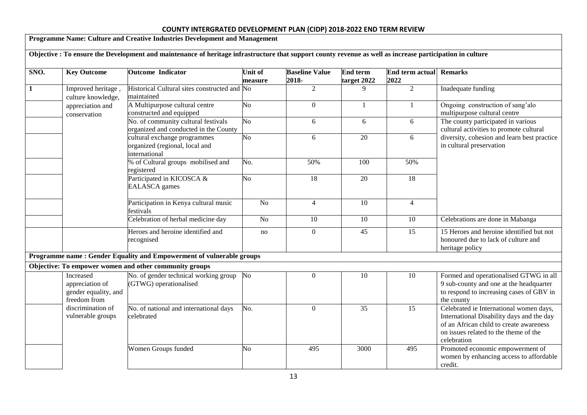|              |                                                                      | Programme Name: Culture and Creative Industries Development and Management                                                                                |                           |                                |                         |                                |                                                                                                                                                                                         |
|--------------|----------------------------------------------------------------------|-----------------------------------------------------------------------------------------------------------------------------------------------------------|---------------------------|--------------------------------|-------------------------|--------------------------------|-----------------------------------------------------------------------------------------------------------------------------------------------------------------------------------------|
|              |                                                                      | Objective : To ensure the Development and maintenance of heritage infrastructure that support county revenue as well as increase participation in culture |                           |                                |                         |                                |                                                                                                                                                                                         |
| SNO.         | <b>Key Outcome</b>                                                   | <b>Outcome Indicator</b>                                                                                                                                  | <b>Unit of</b><br>measure | <b>Baseline Value</b><br>2018- | End term<br>target 2022 | <b>End term actual</b><br>2022 | <b>Remarks</b>                                                                                                                                                                          |
| $\mathbf{1}$ | Improved heritage,<br>culture knowledge,                             | Historical Cultural sites constructed and No<br>maintained                                                                                                |                           | $\overline{2}$                 | 9                       | $\overline{2}$                 | Inadequate funding                                                                                                                                                                      |
|              | appreciation and<br>conservation                                     | A Multipurpose cultural centre<br>constructed and equipped                                                                                                | No                        | $\boldsymbol{0}$               | 1                       | $\mathbf{1}$                   | Ongoing construction of sang'alo<br>multipurpose cultural centre                                                                                                                        |
|              |                                                                      | No. of community cultural festivals<br>organized and conducted in the County                                                                              | $\overline{N_0}$          | 6                              | 6                       | 6                              | The county participated in various<br>cultural activities to promote cultural                                                                                                           |
|              |                                                                      | cultural exchange programmes<br>organized (regional, local and<br>international                                                                           | $\overline{No}$           | 6                              | $\overline{20}$         | 6                              | diversity, cohesion and learn best practice<br>in cultural preservation                                                                                                                 |
|              |                                                                      | % of Cultural groups mobilised and<br>registered                                                                                                          | No.                       | 50%                            | 100                     | 50%                            |                                                                                                                                                                                         |
|              |                                                                      | Participated in KICOSCA &<br><b>EALASCA</b> games                                                                                                         | $\overline{No}$           | $\overline{18}$                | $\overline{20}$         | $\overline{18}$                |                                                                                                                                                                                         |
|              |                                                                      | Participation in Kenya cultural music<br>festivals                                                                                                        | $\overline{No}$           | $\overline{4}$                 | 10                      | $\overline{4}$                 |                                                                                                                                                                                         |
|              |                                                                      | Celebration of herbal medicine day                                                                                                                        | N <sub>o</sub>            | 10                             | 10                      | 10                             | Celebrations are done in Mabanga                                                                                                                                                        |
|              |                                                                      | Heroes and heroine identified and<br>recognised                                                                                                           | no                        | $\mathbf{0}$                   | $\overline{45}$         | $\overline{15}$                | 15 Heroes and heroine identified but not<br>honoured due to lack of culture and<br>heritage policy                                                                                      |
|              |                                                                      | Programme name: Gender Equality and Empowerment of vulnerable groups                                                                                      |                           |                                |                         |                                |                                                                                                                                                                                         |
|              |                                                                      | Objective: To empower women and other community groups                                                                                                    |                           |                                |                         |                                |                                                                                                                                                                                         |
|              | Increased<br>appreciation of<br>gender equality, and<br>freedom from | No. of gender technical working group<br>(GTWG) operationalised                                                                                           | N <sub>o</sub>            | $\boldsymbol{0}$               | 10                      | 10                             | Formed and operationalised GTWG in all<br>9 sub-county and one at the headquarter<br>to respond to increasing cases of GBV in<br>the county                                             |
|              | discrimination of<br>vulnerable groups                               | No. of national and international days<br>celebrated                                                                                                      | No.                       | $\overline{0}$                 | 35                      | 15                             | Celebrated ie International women days,<br>International Disability days and the day<br>of an African child to create awareness<br>on issues related to the theme of the<br>celebration |
|              |                                                                      | Women Groups funded                                                                                                                                       | No                        | 495                            | 3000                    | 495                            | Promoted economic empowerment of<br>women by enhancing access to affordable<br>credit.                                                                                                  |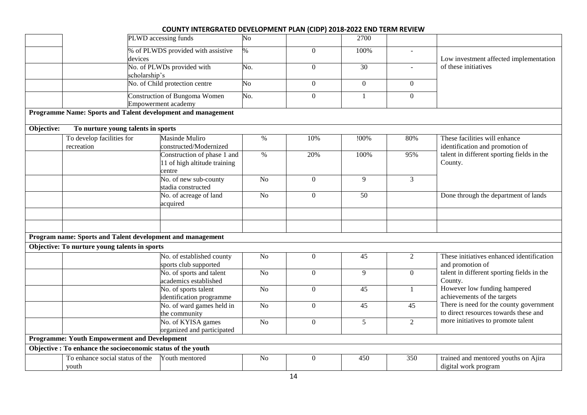|            |                                                              | PLWD accessing funds<br>$\overline{No}$                               |                 |                  | 2700            |                          |                                                                                  |
|------------|--------------------------------------------------------------|-----------------------------------------------------------------------|-----------------|------------------|-----------------|--------------------------|----------------------------------------------------------------------------------|
|            |                                                              | % of PLWDS provided with assistive                                    | $\%$            | $\overline{0}$   | 100%            | $\overline{\phantom{a}}$ |                                                                                  |
|            |                                                              | devices                                                               |                 |                  |                 |                          | Low investment affected implementation                                           |
|            |                                                              | No. of PLWDs provided with<br>No.<br>scholarship's                    |                 | $\Omega$         | 30              | $\mathbf{r}$             | of these initiatives                                                             |
|            |                                                              | No. of Child protection centre                                        | $\overline{No}$ | $\mathbf{0}$     | $\overline{0}$  | $\mathbf{0}$             |                                                                                  |
|            |                                                              | Construction of Bungoma Women<br>No.<br>Empowerment academy           |                 | $\overline{0}$   | $\mathbf{1}$    | $\Omega$                 |                                                                                  |
|            |                                                              | Programme Name: Sports and Talent development and management          |                 |                  |                 |                          |                                                                                  |
| Objective: | To nurture young talents in sports                           |                                                                       |                 |                  |                 |                          |                                                                                  |
|            | To develop facilities for<br>recreation                      | Masinde Muliro<br>constructed/Modernized                              | $\%$            | 10%              | !00%            | 80%                      | These facilities will enhance<br>identification and promotion of                 |
|            |                                                              | Construction of phase 1 and<br>11 of high altitude training<br>centre | $\%$            | 20%              | 100%            | 95%                      | talent in different sporting fields in the<br>County.                            |
|            |                                                              | No. of new sub-county<br>stadia constructed                           | No              | $\overline{0}$   | 9               | 3                        |                                                                                  |
|            |                                                              | No. of acreage of land<br>acquired                                    | $\overline{No}$ | $\overline{0}$   | $\overline{50}$ |                          | Done through the department of lands                                             |
|            |                                                              |                                                                       |                 |                  |                 |                          |                                                                                  |
|            | Program name: Sports and Talent development and management   |                                                                       |                 |                  |                 |                          |                                                                                  |
|            | Objective: To nurture young talents in sports                |                                                                       |                 |                  |                 |                          |                                                                                  |
|            |                                                              | No. of established county<br>sports club supported                    | $\rm No$        | $\boldsymbol{0}$ | 45              | 2                        | These initiatives enhanced identification<br>and promotion of                    |
|            |                                                              | No. of sports and talent<br>academics established                     | N <sub>o</sub>  | $\overline{0}$   | 9               | $\overline{0}$           | talent in different sporting fields in the<br>County.                            |
|            |                                                              | No. of sports talent<br>identification programme                      | N <sub>o</sub>  | $\overline{0}$   | 45              |                          | However low funding hampered<br>achievements of the targets                      |
|            |                                                              | No. of ward games held in<br>the community                            | N <sub>o</sub>  | $\boldsymbol{0}$ | 45              | 45                       | There is need for the county government<br>to direct resources towards these and |
|            |                                                              | No. of KYISA games<br>organized and participated                      | $\overline{No}$ | $\mathbf{0}$     | $\overline{5}$  | $\overline{2}$           | more initiatives to promote talent                                               |
|            | <b>Programme: Youth Empowerment and Development</b>          |                                                                       |                 |                  |                 |                          |                                                                                  |
|            | Objective : To enhance the socioeconomic status of the youth |                                                                       |                 |                  |                 |                          |                                                                                  |
|            | To enhance social status of the<br>youth                     | Youth mentored                                                        | N <sub>o</sub>  | $\overline{0}$   | 450             | 350                      | trained and mentored youths on Ajira<br>digital work program                     |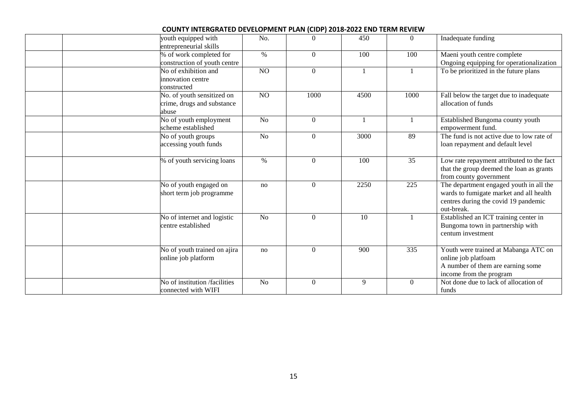| youth equipped with<br>entrepreneurial skills                     | No.             | $\overline{0}$ | 450          | $\overline{0}$ | Inadequate funding                                                                                                                       |
|-------------------------------------------------------------------|-----------------|----------------|--------------|----------------|------------------------------------------------------------------------------------------------------------------------------------------|
| % of work completed for<br>construction of youth centre           | $\%$            | $\overline{0}$ | 100          | 100            | Maeni youth centre complete<br>Ongoing equipping for operationalization                                                                  |
| No of exhibition and<br>innovation centre<br>constructed          | NO              | $\Omega$       | $\mathbf{1}$ |                | To be prioritized in the future plans                                                                                                    |
| No. of youth sensitized on<br>crime, drugs and substance<br>abuse | $\overline{NO}$ | 1000           | 4500         | 1000           | Fall below the target due to inadequate<br>allocation of funds                                                                           |
| No of youth employment<br>scheme established                      | No              | $\overline{0}$ | $\mathbf{1}$ |                | Established Bungoma county youth<br>empowerment fund.                                                                                    |
| No of youth groups<br>accessing youth funds                       | N <sub>o</sub>  | $\overline{0}$ | 3000         | 89             | The fund is not active due to low rate of<br>loan repayment and default level                                                            |
| % of youth servicing loans                                        | $\%$            | $\overline{0}$ | 100          | 35             | Low rate repayment attributed to the fact<br>that the group deemed the loan as grants<br>from county government                          |
| No of youth engaged on<br>short term job programme                | no              | $\overline{0}$ | 2250         | 225            | The department engaged youth in all the<br>wards to fumigate market and all health<br>centres during the covid 19 pandemic<br>out-break. |
| No of internet and logistic<br>centre established                 | N <sub>o</sub>  | $\overline{0}$ | 10           |                | Established an ICT training center in<br>Bungoma town in partnership with<br>centum investment                                           |
| No of youth trained on ajira<br>online job platform               | no              | $\overline{0}$ | 900          | 335            | Youth were trained at Mabanga ATC on<br>online job platfoam<br>A number of them are earning some<br>income from the program              |
| No of institution /facilities<br>connected with WIFI              | N <sub>o</sub>  | $\overline{0}$ | 9            | $\overline{0}$ | Not done due to lack of allocation of<br>funds                                                                                           |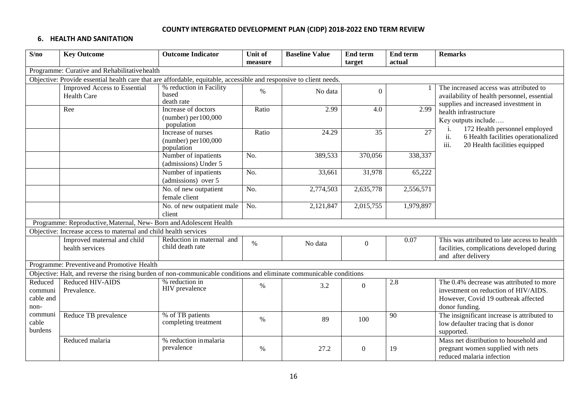#### **6. HEALTH AND SANITATION**

| S/no                                    | <b>Key Outcome</b>                                                                                                  | <b>Outcome Indicator</b>                                     | Unit of | <b>Baseline Value</b> | <b>End term</b>  | End term  | <b>Remarks</b>                                                                                                                            |
|-----------------------------------------|---------------------------------------------------------------------------------------------------------------------|--------------------------------------------------------------|---------|-----------------------|------------------|-----------|-------------------------------------------------------------------------------------------------------------------------------------------|
|                                         |                                                                                                                     |                                                              | measure |                       | target           | actual    |                                                                                                                                           |
|                                         | Programme: Curative and Rehabilitativehealth                                                                        |                                                              |         |                       |                  |           |                                                                                                                                           |
|                                         | Objective: Provide essential health care that are affordable, equitable, accessible and responsive to client needs. |                                                              |         |                       |                  |           |                                                                                                                                           |
|                                         | <b>Improved Access to Essential</b><br><b>Health Care</b>                                                           | % reduction in Facility<br>based<br>death rate               | $\%$    | No data               | $\Omega$         |           | The increased access was attributed to<br>availability of health personnel, essential<br>supplies and increased investment in             |
|                                         | Ree                                                                                                                 | Increase of doctors<br>(number) per $100,000$<br>population  | Ratio   | 2.99                  | 4.0              | 2.99      | health infrastructure<br>Key outputs include<br>172 Health personnel employed                                                             |
|                                         |                                                                                                                     | Increase of nurses<br>$(number)$ per $100,000$<br>population | Ratio   | 24.29                 | 35               | 27        | ii.<br>6 Health facilities operationalized<br>iii.<br>20 Health facilities equipped                                                       |
|                                         |                                                                                                                     | Number of inpatients<br>(admissions) Under 5                 | No.     | 389,533               | 370,056          | 338,337   |                                                                                                                                           |
|                                         |                                                                                                                     | Number of inpatients<br>(admissions) over 5                  | No.     | 33,661                | 31,978           | 65,222    |                                                                                                                                           |
|                                         |                                                                                                                     | No. of new outpatient<br>female client                       | No.     | 2,774,503             | 2,635,778        | 2,556,571 |                                                                                                                                           |
|                                         |                                                                                                                     | No. of new outpatient male<br>client                         | No.     | 2,121,847             | 2,015,755        | 1,979,897 |                                                                                                                                           |
|                                         | Programme: Reproductive, Maternal, New- Born and Adolescent Health                                                  |                                                              |         |                       |                  |           |                                                                                                                                           |
|                                         | Objective: Increase access to maternal and child health services                                                    |                                                              |         |                       |                  |           |                                                                                                                                           |
|                                         | Improved maternal and child<br>health services                                                                      | Reduction in maternal and<br>child death rate                | $\%$    | No data               | $\boldsymbol{0}$ | 0.07      | This was attributed to late access to health<br>facilities, complications developed during<br>and after delivery                          |
|                                         | Programme: Preventive and Promotive Health                                                                          |                                                              |         |                       |                  |           |                                                                                                                                           |
|                                         | Objective: Halt, and reverse the rising burden of non-communicable conditions and eliminate communicable conditions |                                                              |         |                       |                  |           |                                                                                                                                           |
| Reduced<br>communi<br>cable and<br>non- | Reduced HIV-AIDS<br>Prevalence.                                                                                     | % reduction in<br>HIV prevalence                             | $\%$    | 3.2                   | $\overline{0}$   | 2.8       | The 0.4% decrease was attributed to more<br>investment on reduction of HIV/AIDS.<br>However, Covid 19 outbreak affected<br>donor funding. |
| communi<br>cable<br>burdens             | Reduce TB prevalence                                                                                                | % of TB patients<br>completing treatment                     | $\%$    | 89                    | 100              | 90        | The insignificant increase is attributed to<br>low defaulter tracing that is donor<br>supported.                                          |
|                                         | Reduced malaria                                                                                                     | % reduction inmalaria<br>prevalence                          | $\%$    | 27.2                  | $\overline{0}$   | 19        | Mass net distribution to household and<br>pregnant women supplied with nets<br>reduced malaria infection                                  |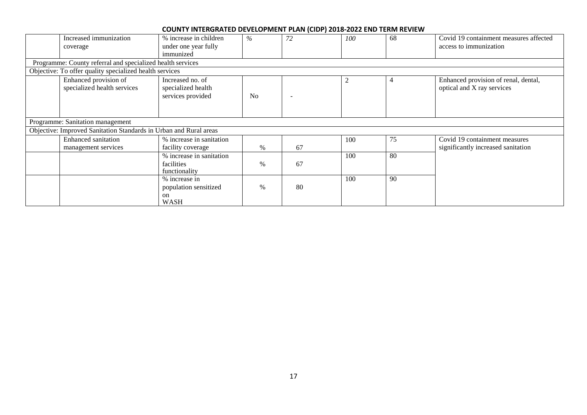|                                                         | Increased immunization<br>coverage                                | % increase in children<br>under one year fully<br>immunized            | $\%$           | 72 | 100 | 68 | Covid 19 containment measures affected<br>access to immunization    |  |  |  |  |
|---------------------------------------------------------|-------------------------------------------------------------------|------------------------------------------------------------------------|----------------|----|-----|----|---------------------------------------------------------------------|--|--|--|--|
|                                                         | Programme: County referral and specialized health services        |                                                                        |                |    |     |    |                                                                     |  |  |  |  |
| Objective: To offer quality specialized health services |                                                                   |                                                                        |                |    |     |    |                                                                     |  |  |  |  |
|                                                         | Enhanced provision of<br>specialized health services              | Increased no. of<br>specialized health<br>services provided            | N <sub>0</sub> |    |     |    | Enhanced provision of renal, dental,<br>optical and X ray services  |  |  |  |  |
|                                                         | Programme: Sanitation management                                  |                                                                        |                |    |     |    |                                                                     |  |  |  |  |
|                                                         | Objective: Improved Sanitation Standards in Urban and Rural areas |                                                                        |                |    |     |    |                                                                     |  |  |  |  |
|                                                         | <b>Enhanced</b> sanitation<br>management services                 | % increase in sanitation<br>facility coverage                          | %              | 67 | 100 | 75 | Covid 19 containment measures<br>significantly increased sanitation |  |  |  |  |
|                                                         |                                                                   | % increase in sanitation<br>facilities<br>functionality                | $\%$           | 67 | 100 | 80 |                                                                     |  |  |  |  |
|                                                         |                                                                   | % increase in<br>population sensitized<br><sub>on</sub><br><b>WASH</b> | $\%$           | 80 | 100 | 90 |                                                                     |  |  |  |  |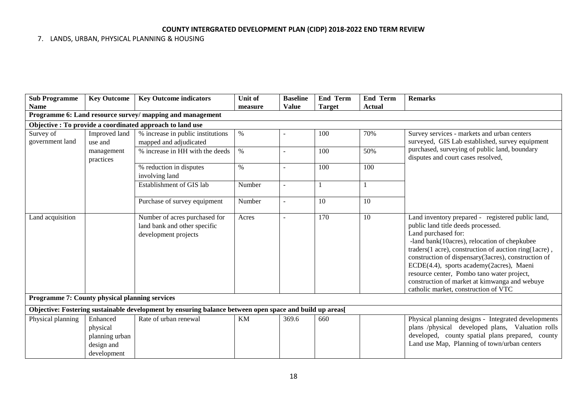## 7. LANDS, URBAN, PHYSICAL PLANNING & HOUSING

| <b>Sub Programme</b>                           | <b>Key Outcome</b>                                                  | <b>Key Outcome indicators</b>                                                                           | <b>Unit of</b> | <b>Baseline</b>          | <b>End Term</b> | <b>End Term</b> | <b>Remarks</b>                                                                                                                                                                                                                                                                                                                                                                                                                                                    |
|------------------------------------------------|---------------------------------------------------------------------|---------------------------------------------------------------------------------------------------------|----------------|--------------------------|-----------------|-----------------|-------------------------------------------------------------------------------------------------------------------------------------------------------------------------------------------------------------------------------------------------------------------------------------------------------------------------------------------------------------------------------------------------------------------------------------------------------------------|
| <b>Name</b>                                    |                                                                     |                                                                                                         | measure        | <b>Value</b>             | <b>Target</b>   | Actual          |                                                                                                                                                                                                                                                                                                                                                                                                                                                                   |
|                                                |                                                                     | Programme 6: Land resource survey/ mapping and management                                               |                |                          |                 |                 |                                                                                                                                                                                                                                                                                                                                                                                                                                                                   |
|                                                |                                                                     | Objective: To provide a coordinated approach to land use                                                |                |                          |                 |                 |                                                                                                                                                                                                                                                                                                                                                                                                                                                                   |
| Survey of                                      | Improved land                                                       | % increase in public institutions                                                                       | $\%$           |                          | 100             | 70%             | Survey services - markets and urban centers                                                                                                                                                                                                                                                                                                                                                                                                                       |
| government land                                | use and                                                             | mapped and adjudicated                                                                                  |                |                          |                 |                 | surveyed, GIS Lab established, survey equipment                                                                                                                                                                                                                                                                                                                                                                                                                   |
|                                                | management<br>practices                                             | % increase in HH with the deeds                                                                         | $\%$           |                          | 100             | 50%             | purchased, surveying of public land, boundary<br>disputes and court cases resolved,                                                                                                                                                                                                                                                                                                                                                                               |
|                                                |                                                                     | % reduction in disputes<br>involving land                                                               | $\%$           | ÷,                       | 100             | 100             |                                                                                                                                                                                                                                                                                                                                                                                                                                                                   |
|                                                |                                                                     | Establishment of GIS lab                                                                                | Number         | $\overline{a}$           |                 |                 |                                                                                                                                                                                                                                                                                                                                                                                                                                                                   |
|                                                |                                                                     | Purchase of survey equipment                                                                            | Number         | $\overline{\phantom{a}}$ | 10              | 10              |                                                                                                                                                                                                                                                                                                                                                                                                                                                                   |
| Land acquisition                               |                                                                     | Number of acres purchased for<br>land bank and other specific<br>development projects                   | Acres          | $\overline{a}$           | 170             | 10              | Land inventory prepared - registered public land,<br>public land title deeds processed.<br>Land purchased for:<br>-land bank(10acres), relocation of chepkubee<br>traders(1 acre), construction of auction ring(1acre),<br>construction of dispensary(3acres), construction of<br>ECDE(4.4), sports academy(2acres), Maeni<br>resource center, Pombo tano water project,<br>construction of market at kimwanga and webuye<br>catholic market, construction of VTC |
| Programme 7: County physical planning services |                                                                     |                                                                                                         |                |                          |                 |                 |                                                                                                                                                                                                                                                                                                                                                                                                                                                                   |
|                                                |                                                                     | Objective: Fostering sustainable development by ensuring balance between open space and build up areas[ |                |                          |                 |                 |                                                                                                                                                                                                                                                                                                                                                                                                                                                                   |
| Physical planning                              | Enhanced<br>physical<br>planning urban<br>design and<br>development | Rate of urban renewal                                                                                   | <b>KM</b>      | 369.6                    | 660             |                 | Physical planning designs - Integrated developments<br>plans /physical developed plans, Valuation rolls<br>developed, county spatial plans prepared, county<br>Land use Map, Planning of town/urban centers                                                                                                                                                                                                                                                       |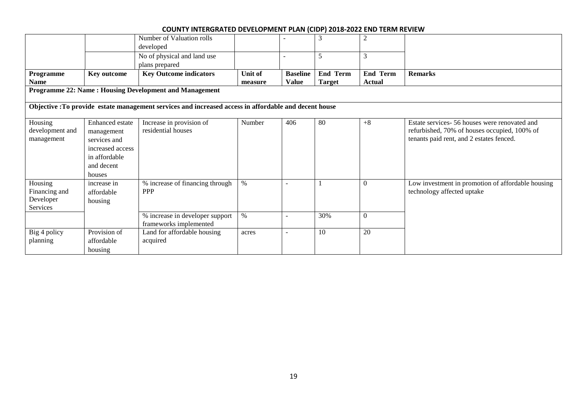|                                                        |                  | Number of Valuation rolls                                                                             |         |                 |                 | 2               |                                                   |  |  |  |
|--------------------------------------------------------|------------------|-------------------------------------------------------------------------------------------------------|---------|-----------------|-----------------|-----------------|---------------------------------------------------|--|--|--|
|                                                        |                  | developed                                                                                             |         |                 |                 |                 |                                                   |  |  |  |
|                                                        |                  | No of physical and land use                                                                           |         |                 | 5               | 3               |                                                   |  |  |  |
|                                                        |                  | plans prepared                                                                                        |         |                 |                 |                 |                                                   |  |  |  |
| Programme                                              | Key outcome      | <b>Key Outcome indicators</b>                                                                         | Unit of | <b>Baseline</b> | <b>End Term</b> | <b>End Term</b> | <b>Remarks</b>                                    |  |  |  |
| <b>Name</b>                                            |                  |                                                                                                       | measure | <b>Value</b>    | <b>Target</b>   | <b>Actual</b>   |                                                   |  |  |  |
| Programme 22: Name: Housing Development and Management |                  |                                                                                                       |         |                 |                 |                 |                                                   |  |  |  |
|                                                        |                  | Objective : To provide estate management services and increased access in affordable and decent house |         |                 |                 |                 |                                                   |  |  |  |
| Housing                                                | Enhanced estate  | Increase in provision of                                                                              | Number  | 406             | 80              | $+8$            | Estate services- 56 houses were renovated and     |  |  |  |
| development and                                        | management       | residential houses                                                                                    |         |                 |                 |                 | refurbished, 70% of houses occupied, 100% of      |  |  |  |
| management                                             | services and     |                                                                                                       |         |                 |                 |                 | tenants paid rent, and 2 estates fenced.          |  |  |  |
|                                                        | increased access |                                                                                                       |         |                 |                 |                 |                                                   |  |  |  |
|                                                        | in affordable    |                                                                                                       |         |                 |                 |                 |                                                   |  |  |  |
|                                                        | and decent       |                                                                                                       |         |                 |                 |                 |                                                   |  |  |  |
|                                                        | houses           |                                                                                                       |         |                 |                 |                 |                                                   |  |  |  |
| Housing                                                | increase in      | % increase of financing through                                                                       | $\%$    |                 |                 | $\theta$        | Low investment in promotion of affordable housing |  |  |  |
| Financing and                                          | affordable       | <b>PPP</b>                                                                                            |         |                 |                 |                 | technology affected uptake                        |  |  |  |
| Developer                                              | housing          |                                                                                                       |         |                 |                 |                 |                                                   |  |  |  |
| Services                                               |                  |                                                                                                       |         |                 |                 |                 |                                                   |  |  |  |
|                                                        |                  | % increase in developer support                                                                       | $\%$    |                 | 30%             | $\Omega$        |                                                   |  |  |  |
|                                                        |                  | frameworks implemented                                                                                |         |                 |                 |                 |                                                   |  |  |  |
| Big 4 policy                                           | Provision of     | Land for affordable housing                                                                           | acres   |                 | 10              | 20              |                                                   |  |  |  |
| planning                                               | affordable       | acquired                                                                                              |         |                 |                 |                 |                                                   |  |  |  |
|                                                        | housing          |                                                                                                       |         |                 |                 |                 |                                                   |  |  |  |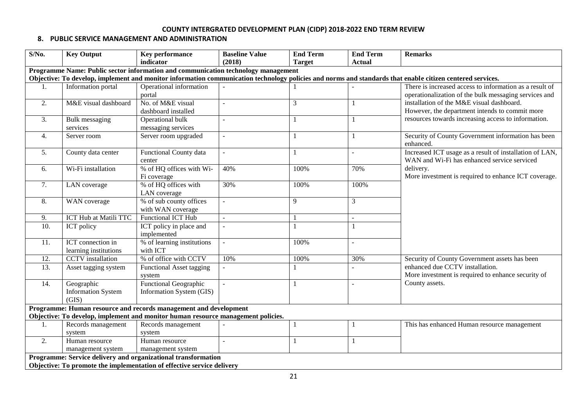### **8. PUBLIC SERVICE MANAGEMENT AND ADMINISTRATION**

| $S/N0$ . | <b>Key Output</b>         | <b>Key performance</b>                                                            | <b>Baseline Value</b>    | <b>End Term</b> | <b>End Term</b> | <b>Remarks</b>                                                                                                                                            |
|----------|---------------------------|-----------------------------------------------------------------------------------|--------------------------|-----------------|-----------------|-----------------------------------------------------------------------------------------------------------------------------------------------------------|
|          |                           | indicator                                                                         | (2018)                   | <b>Target</b>   | <b>Actual</b>   |                                                                                                                                                           |
|          |                           | Programme Name: Public sector information and communication technology management |                          |                 |                 |                                                                                                                                                           |
|          |                           |                                                                                   |                          |                 |                 | Objective: To develop, implement and monitor information communication technology policies and norms and standards that enable citizen centered services. |
| 1.       | Information portal        | Operational information                                                           |                          |                 |                 | There is increased access to information as a result of                                                                                                   |
|          |                           | portal                                                                            |                          |                 |                 | operationalization of the bulk messaging services and                                                                                                     |
| 2.       | M&E visual dashboard      | No. of M&E visual                                                                 |                          | 3               |                 | installation of the M&E visual dashboard.                                                                                                                 |
|          |                           | dashboard installed                                                               |                          |                 |                 | However, the department intends to commit more                                                                                                            |
| 3.       | Bulk messaging            | Operational bulk                                                                  | $\sim$                   |                 |                 | resources towards increasing access to information.                                                                                                       |
|          | services                  | messaging services                                                                |                          |                 |                 |                                                                                                                                                           |
| 4.       | Server room               | Server room upgraded                                                              | $\overline{\phantom{a}}$ |                 |                 | Security of County Government information has been<br>enhanced.                                                                                           |
| 5.       | County data center        | Functional County data                                                            | $\sim$                   |                 |                 | Increased ICT usage as a result of installation of LAN,                                                                                                   |
|          |                           | center                                                                            |                          |                 |                 | WAN and Wi-Fi has enhanced service serviced                                                                                                               |
| 6.       | Wi-Fi installation        | % of HQ offices with Wi-                                                          | 40%                      | 100%            | 70%             | delivery.                                                                                                                                                 |
|          |                           | Fi coverage                                                                       |                          |                 |                 | More investment is required to enhance ICT coverage.                                                                                                      |
| 7.       | LAN coverage              | % of HQ offices with                                                              | 30%                      | 100%            | 100%            |                                                                                                                                                           |
|          |                           | LAN coverage                                                                      |                          |                 |                 |                                                                                                                                                           |
| 8.       | WAN coverage              | % of sub county offices                                                           |                          | 9               | 3               |                                                                                                                                                           |
|          |                           | with WAN coverage                                                                 |                          |                 |                 |                                                                                                                                                           |
| 9.       | ICT Hub at Matili TTC     | Functional ICT Hub                                                                | $\sim$                   |                 |                 |                                                                                                                                                           |
| 10.      | ICT policy                | ICT policy in place and<br>implemented                                            | $\overline{a}$           |                 |                 |                                                                                                                                                           |
| 11.      | ICT connection in         | % of learning institutions                                                        | $\blacksquare$           | 100%            |                 |                                                                                                                                                           |
|          | learning institutions     | with ICT                                                                          |                          |                 |                 |                                                                                                                                                           |
| 12.      | <b>CCTV</b> installation  | % of office with CCTV                                                             | 10%                      | 100%            | 30%             | Security of County Government assets has been                                                                                                             |
| 13.      | Asset tagging system      | Functional Asset tagging                                                          |                          |                 |                 | enhanced due CCTV installation.                                                                                                                           |
|          |                           | system                                                                            |                          |                 |                 | More investment is required to enhance security of                                                                                                        |
| 14.      | Geographic                | <b>Functional Geographic</b>                                                      |                          |                 |                 | County assets.                                                                                                                                            |
|          | <b>Information System</b> | Information System (GIS)                                                          |                          |                 |                 |                                                                                                                                                           |
|          | (GIS)                     |                                                                                   |                          |                 |                 |                                                                                                                                                           |
|          |                           | Programme: Human resource and records management and development                  |                          |                 |                 |                                                                                                                                                           |
|          |                           | Objective: To develop, implement and monitor human resource management policies.  |                          |                 |                 |                                                                                                                                                           |
| 1.       | Records management        | Records management                                                                |                          |                 |                 | This has enhanced Human resource management                                                                                                               |
|          | system                    | system                                                                            |                          |                 |                 |                                                                                                                                                           |
| 2.       | Human resource            | Human resource                                                                    | $\sim$                   |                 |                 |                                                                                                                                                           |
|          | management system         | management system                                                                 |                          |                 |                 |                                                                                                                                                           |
|          |                           | Programme: Service delivery and organizational transformation                     |                          |                 |                 |                                                                                                                                                           |
|          |                           | Objective: To promote the implementation of effective service delivery            |                          |                 |                 |                                                                                                                                                           |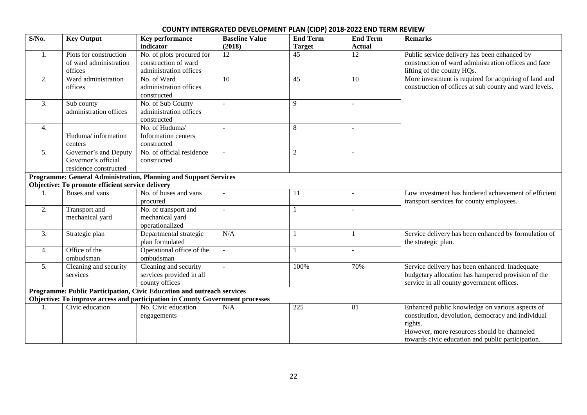| $S/N0$ .         | <b>Key Output</b>                                | <b>Key performance</b>                                                        | <b>Baseline Value</b>    | <b>End Term</b> | <b>End Term</b> | <b>Remarks</b>                                         |
|------------------|--------------------------------------------------|-------------------------------------------------------------------------------|--------------------------|-----------------|-----------------|--------------------------------------------------------|
|                  |                                                  | indicator                                                                     | (2018)                   | <b>Target</b>   | <b>Actual</b>   |                                                        |
| 1.               | Plots for construction                           | No. of plots procured for                                                     | $\overline{12}$          | $\overline{45}$ | 12              | Public service delivery has been enhanced by           |
|                  | of ward administration                           | construction of ward                                                          |                          |                 |                 | construction of ward administration offices and face   |
|                  | offices                                          | administration offices                                                        |                          |                 |                 | lifting of the county HQs.                             |
| 2.               | Ward administration                              | No. of Ward                                                                   | 10                       | 45              | 10              | More investment is required for acquiring of land and  |
|                  | offices                                          | administration offices                                                        |                          |                 |                 | construction of offices at sub county and ward levels. |
|                  |                                                  | constructed                                                                   |                          |                 |                 |                                                        |
| 3.               | Sub county                                       | No. of Sub County                                                             | $\sim$                   | 9               | $\sim$          |                                                        |
|                  | administration offices                           | administration offices                                                        |                          |                 |                 |                                                        |
|                  |                                                  | constructed                                                                   |                          |                 |                 |                                                        |
| 4.               |                                                  | No. of Huduma/                                                                |                          | 8               | $\blacksquare$  |                                                        |
|                  | Huduma/information                               | Information centers                                                           |                          |                 |                 |                                                        |
|                  | centers                                          | constructed                                                                   |                          |                 |                 |                                                        |
| 5.               | Governor's and Deputy                            | No. of official residence                                                     |                          | $\overline{c}$  |                 |                                                        |
|                  | Governor's official                              | constructed                                                                   |                          |                 |                 |                                                        |
|                  | residence constructed                            |                                                                               |                          |                 |                 |                                                        |
|                  |                                                  | <b>Programme: General Administration, Planning and Support Services</b>       |                          |                 |                 |                                                        |
|                  | Objective: To promote efficient service delivery |                                                                               |                          |                 |                 |                                                        |
| 1.               | Buses and vans                                   | No. of buses and vans                                                         |                          | 11              | $\blacksquare$  | Low investment has hindered achievement of efficient   |
|                  |                                                  | procured                                                                      |                          |                 |                 | transport services for county employees.               |
| 2.               | Transport and                                    | No. of transport and                                                          | $\sim$                   |                 | $\blacksquare$  |                                                        |
|                  | mechanical yard                                  | mechanical yard                                                               |                          |                 |                 |                                                        |
|                  |                                                  | operationalized                                                               |                          |                 |                 |                                                        |
| 3.               | Strategic plan                                   | Departmental strategic                                                        | N/A                      | $\mathbf{1}$    |                 | Service delivery has been enhanced by formulation of   |
|                  |                                                  | plan formulated                                                               |                          |                 |                 | the strategic plan.                                    |
| $\overline{4}$ . | Office of the                                    | Operational office of the                                                     |                          | $\mathbf{1}$    | $\overline{a}$  |                                                        |
|                  | ombudsman                                        | ombudsman                                                                     |                          |                 |                 |                                                        |
| 5.               | Cleaning and security                            | Cleaning and security                                                         | $\overline{\phantom{a}}$ | 100%            | 70%             | Service delivery has been enhanced. Inadequate         |
|                  | services                                         | services provided in all                                                      |                          |                 |                 | budgetary allocation has hampered provision of the     |
|                  |                                                  | county offices                                                                |                          |                 |                 | service in all county government offices.              |
|                  |                                                  | Programme: Public Participation, Civic Education and outreach services        |                          |                 |                 |                                                        |
|                  |                                                  | Objective: To improve access and participation in County Government processes |                          |                 |                 |                                                        |
| 1.               | Civic education                                  | No. Civic education                                                           | N/A                      | 225             | 81              | Enhanced public knowledge on various aspects of        |
|                  |                                                  | engagements                                                                   |                          |                 |                 | constitution, devolution, democracy and individual     |
|                  |                                                  |                                                                               |                          |                 |                 | rights.                                                |
|                  |                                                  |                                                                               |                          |                 |                 | However, more resources should be channeled            |
|                  |                                                  |                                                                               |                          |                 |                 | towards civic education and public participation.      |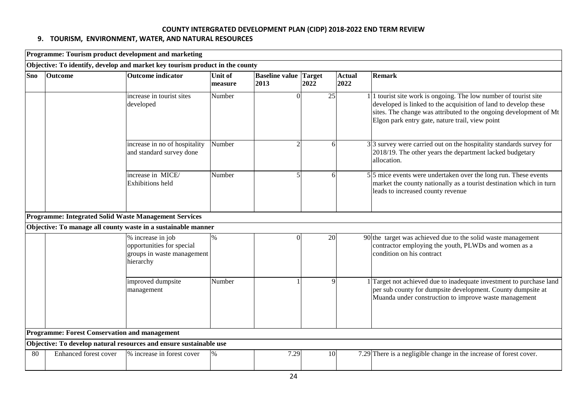# **9. TOURISM, ENVIRONMENT, WATER, AND NATURAL RESOURCES**

|     |                                                      | Programme: Tourism product development and marketing                                      |                           |                               |                       |    |                       |                                                                                                                                                                                                                                                           |
|-----|------------------------------------------------------|-------------------------------------------------------------------------------------------|---------------------------|-------------------------------|-----------------------|----|-----------------------|-----------------------------------------------------------------------------------------------------------------------------------------------------------------------------------------------------------------------------------------------------------|
|     |                                                      | Objective: To identify, develop and market key tourism product in the county              |                           |                               |                       |    |                       |                                                                                                                                                                                                                                                           |
| Sno | <b>Outcome</b>                                       | <b>Outcome indicator</b>                                                                  | <b>Unit of</b><br>measure | <b>Baseline value</b><br>2013 | <b>Target</b><br>2022 |    | <b>Actual</b><br>2022 | Remark                                                                                                                                                                                                                                                    |
|     |                                                      | increase in tourist sites<br>developed                                                    | Number                    | $\Omega$                      |                       | 25 |                       | 1 tourist site work is ongoing. The low number of tourist site<br>developed is linked to the acquisition of land to develop these<br>sites. The change was attributed to the ongoing development of Mt<br>Elgon park entry gate, nature trail, view point |
|     |                                                      | increase in no of hospitality<br>and standard survey done                                 | Number                    | 2                             |                       | 6  |                       | $3 3$ survey were carried out on the hospitality standards survey for<br>2018/19. The other years the department lacked budgetary<br>allocation.                                                                                                          |
|     |                                                      | increase in MICE/<br><b>Exhibitions</b> held                                              | Number                    |                               |                       | 6  |                       | $5\overline{5}$ mice events were undertaken over the long run. These events<br>market the county nationally as a tourist destination which in turn<br>leads to increased county revenue                                                                   |
|     |                                                      | <b>Programme: Integrated Solid Waste Management Services</b>                              |                           |                               |                       |    |                       |                                                                                                                                                                                                                                                           |
|     |                                                      | Objective: To manage all county waste in a sustainable manner                             |                           |                               |                       |    |                       |                                                                                                                                                                                                                                                           |
|     |                                                      | % increase in job<br>opportunities for special<br>groups in waste management<br>hierarchy | $\%$                      | 0                             |                       | 20 |                       | 90 the target was achieved due to the solid waste management<br>contractor employing the youth, PLWDs and women as a<br>condition on his contract                                                                                                         |
|     |                                                      | improved dumpsite<br>management                                                           | Number                    |                               |                       | 9  |                       | Target not achieved due to inadequate investment to purchase land<br>per sub county for dumpsite development. County dumpsite at<br>Muanda under construction to improve waste management                                                                 |
|     | <b>Programme: Forest Conservation and management</b> |                                                                                           |                           |                               |                       |    |                       |                                                                                                                                                                                                                                                           |
|     |                                                      | Objective: To develop natural resources and ensure sustainable use                        |                           |                               |                       |    |                       |                                                                                                                                                                                                                                                           |
| 80  | Enhanced forest cover                                | % increase in forest cover                                                                | $\%$                      | 7.29                          |                       | 10 |                       | 7.29 There is a negligible change in the increase of forest cover.                                                                                                                                                                                        |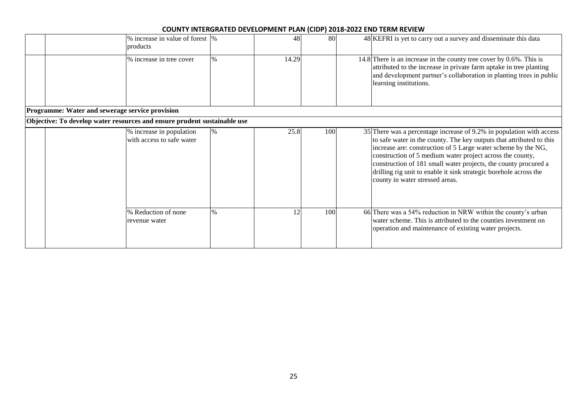|                                                 | % increase in value of forest  %<br>products                             |      | 48    | 80  |  | 48 KEFRI is yet to carry out a survey and disseminate this data                                                                                                                                                                                                                                                                                                                                                                                       |  |  |  |  |
|-------------------------------------------------|--------------------------------------------------------------------------|------|-------|-----|--|-------------------------------------------------------------------------------------------------------------------------------------------------------------------------------------------------------------------------------------------------------------------------------------------------------------------------------------------------------------------------------------------------------------------------------------------------------|--|--|--|--|
|                                                 | % increase in tree cover                                                 | $\%$ | 14.29 |     |  | 14.8 There is an increase in the county tree cover by $0.6\%$ . This is<br>attributed to the increase in private farm uptake in tree planting<br>and development partner's collaboration in planting trees in public<br>learning institutions.                                                                                                                                                                                                        |  |  |  |  |
| Programme: Water and sewerage service provision |                                                                          |      |       |     |  |                                                                                                                                                                                                                                                                                                                                                                                                                                                       |  |  |  |  |
|                                                 | Objective: To develop water resources and ensure prudent sustainable use |      |       |     |  |                                                                                                                                                                                                                                                                                                                                                                                                                                                       |  |  |  |  |
|                                                 | % increase in population<br>with access to safe water                    | %    | 25.8  | 100 |  | 35 There was a percentage increase of 9.2% in population with access<br>to safe water in the county. The key outputs that attributed to this<br>increase are: construction of 5 Large water scheme by the NG,<br>construction of 5 medium water project across the county,<br>construction of 181 small water projects, the county procured a<br>drilling rig unit to enable it sink strategic borehole across the<br>county in water stressed areas. |  |  |  |  |
|                                                 | % Reduction of none<br>revenue water                                     | $\%$ |       | 100 |  | 66 There was a 54% reduction in NRW within the county's urban<br>water scheme. This is attributed to the counties investment on<br>operation and maintenance of existing water projects.                                                                                                                                                                                                                                                              |  |  |  |  |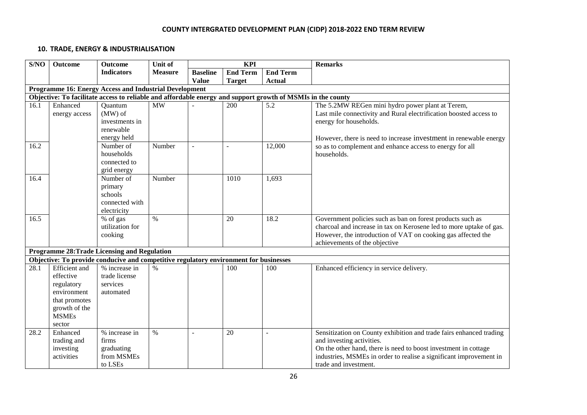### **10. TRADE, ENERGY & INDUSTRIALISATION**

| S/NO | <b>Outcome</b>       | <b>Outcome</b>                                                                                              | Unit of        | <b>KPI</b>      |                                    |               | <b>Remarks</b>                                                                                                                    |
|------|----------------------|-------------------------------------------------------------------------------------------------------------|----------------|-----------------|------------------------------------|---------------|-----------------------------------------------------------------------------------------------------------------------------------|
|      |                      | <b>Indicators</b>                                                                                           | <b>Measure</b> | <b>Baseline</b> | <b>End Term</b><br><b>End Term</b> |               |                                                                                                                                   |
|      |                      |                                                                                                             |                | <b>Value</b>    | <b>Target</b>                      | <b>Actual</b> |                                                                                                                                   |
|      |                      | Programme 16: Energy Access and Industrial Development                                                      |                |                 |                                    |               |                                                                                                                                   |
|      |                      | Objective: To facilitate access to reliable and affordable energy and support growth of MSMIs in the county |                |                 |                                    |               |                                                                                                                                   |
| 16.1 | Enhanced             | Quantum                                                                                                     | MW             |                 | 200                                | 5.2           | The 5.2MW REGen mini hydro power plant at Terem,                                                                                  |
|      | energy access        | $(MW)$ of<br>investments in                                                                                 |                |                 |                                    |               | Last mile connectivity and Rural electrification boosted access to<br>energy for households.                                      |
|      |                      | renewable                                                                                                   |                |                 |                                    |               |                                                                                                                                   |
|      |                      | energy held                                                                                                 |                |                 |                                    |               | However, there is need to increase investment in renewable energy                                                                 |
| 16.2 |                      | Number of                                                                                                   | Number         |                 |                                    | 12,000        | so as to complement and enhance access to energy for all                                                                          |
|      |                      | households                                                                                                  |                |                 |                                    |               | households.                                                                                                                       |
|      |                      | connected to                                                                                                |                |                 |                                    |               |                                                                                                                                   |
|      |                      | grid energy                                                                                                 |                |                 |                                    |               |                                                                                                                                   |
| 16.4 |                      | Number of                                                                                                   | Number         |                 | 1010                               | 1,693         |                                                                                                                                   |
|      |                      | primary                                                                                                     |                |                 |                                    |               |                                                                                                                                   |
|      |                      | schools                                                                                                     |                |                 |                                    |               |                                                                                                                                   |
|      |                      | connected with                                                                                              |                |                 |                                    |               |                                                                                                                                   |
|      |                      | electricity                                                                                                 |                |                 |                                    |               |                                                                                                                                   |
| 16.5 |                      | % of gas<br>utilization for                                                                                 | $\%$           |                 | 20                                 | 18.2          | Government policies such as ban on forest products such as<br>charcoal and increase in tax on Kerosene led to more uptake of gas. |
|      |                      | cooking                                                                                                     |                |                 |                                    |               | However, the introduction of VAT on cooking gas affected the                                                                      |
|      |                      |                                                                                                             |                |                 |                                    |               | achievements of the objective                                                                                                     |
|      |                      | Programme 28: Trade Licensing and Regulation                                                                |                |                 |                                    |               |                                                                                                                                   |
|      |                      | Objective: To provide conducive and competitive regulatory environment for businesses                       |                |                 |                                    |               |                                                                                                                                   |
| 28.1 | <b>Efficient</b> and | % increase in                                                                                               | $\%$           |                 | 100                                | 100           | Enhanced efficiency in service delivery.                                                                                          |
|      | effective            | trade license                                                                                               |                |                 |                                    |               |                                                                                                                                   |
|      | regulatory           | services                                                                                                    |                |                 |                                    |               |                                                                                                                                   |
|      | environment          | automated                                                                                                   |                |                 |                                    |               |                                                                                                                                   |
|      | that promotes        |                                                                                                             |                |                 |                                    |               |                                                                                                                                   |
|      | growth of the        |                                                                                                             |                |                 |                                    |               |                                                                                                                                   |
|      | <b>MSMEs</b>         |                                                                                                             |                |                 |                                    |               |                                                                                                                                   |
|      | sector               |                                                                                                             |                |                 |                                    |               |                                                                                                                                   |
| 28.2 | Enhanced             | % increase in                                                                                               | $\%$           | ÷,              | 20                                 | $\sim$        | Sensitization on County exhibition and trade fairs enhanced trading                                                               |
|      | trading and          | firms                                                                                                       |                |                 |                                    |               | and investing activities.                                                                                                         |
|      | investing            | graduating                                                                                                  |                |                 |                                    |               | On the other hand, there is need to boost investment in cottage                                                                   |
|      | activities           | from MSMEs                                                                                                  |                |                 |                                    |               | industries, MSMEs in order to realise a significant improvement in                                                                |
|      |                      | to LSEs                                                                                                     |                |                 |                                    |               | trade and investment.                                                                                                             |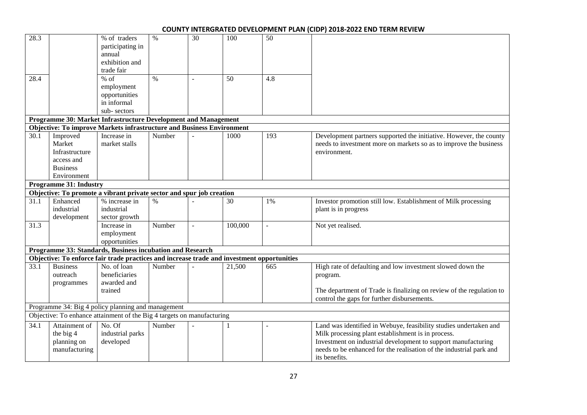| 28.3              |                               | % of traders                                                                               | $\%$   | 30 | 100          | 50             |                                                                      |
|-------------------|-------------------------------|--------------------------------------------------------------------------------------------|--------|----|--------------|----------------|----------------------------------------------------------------------|
|                   |                               | participating in                                                                           |        |    |              |                |                                                                      |
|                   |                               | annual                                                                                     |        |    |              |                |                                                                      |
|                   |                               | exhibition and                                                                             |        |    |              |                |                                                                      |
|                   |                               | trade fair                                                                                 |        |    |              |                |                                                                      |
| 28.4              |                               | $%$ of                                                                                     | $\%$   |    | 50           | 4.8            |                                                                      |
|                   |                               | employment                                                                                 |        |    |              |                |                                                                      |
|                   |                               | opportunities                                                                              |        |    |              |                |                                                                      |
|                   |                               | in informal                                                                                |        |    |              |                |                                                                      |
|                   |                               | sub-sectors                                                                                |        |    |              |                |                                                                      |
|                   |                               | Programme 30: Market Infrastructure Development and Management                             |        |    |              |                |                                                                      |
|                   |                               | <b>Objective: To improve Markets infrastructure and Business Environment</b>               |        |    |              |                |                                                                      |
| 30.1              | Improved                      | Increase in                                                                                | Number |    | 1000         | 193            | Development partners supported the initiative. However, the county   |
|                   | Market                        | market stalls                                                                              |        |    |              |                | needs to investment more on markets so as to improve the business    |
|                   | Infrastructure                |                                                                                            |        |    |              |                | environment.                                                         |
|                   | access and                    |                                                                                            |        |    |              |                |                                                                      |
|                   | <b>Business</b>               |                                                                                            |        |    |              |                |                                                                      |
|                   | Environment                   |                                                                                            |        |    |              |                |                                                                      |
|                   | <b>Programme 31: Industry</b> |                                                                                            |        |    |              |                |                                                                      |
|                   |                               | Objective: To promote a vibrant private sector and spur job creation                       |        |    |              |                |                                                                      |
| 31.1              | Enhanced                      | % increase in                                                                              | $\%$   |    | 30           | 1%             | Investor promotion still low. Establishment of Milk processing       |
|                   | industrial                    | industrial                                                                                 |        |    |              |                | plant is in progress                                                 |
|                   | development                   | sector growth                                                                              |        |    |              |                |                                                                      |
| 31.3              |                               | Increase in                                                                                | Number |    | 100,000      | $\overline{a}$ | Not yet realised.                                                    |
|                   |                               | employment                                                                                 |        |    |              |                |                                                                      |
|                   |                               | opportunities                                                                              |        |    |              |                |                                                                      |
|                   |                               | Programme 33: Standards, Business incubation and Research                                  |        |    |              |                |                                                                      |
|                   |                               | Objective: To enforce fair trade practices and increase trade and investment opportunities |        |    |              |                |                                                                      |
| 33.1              | <b>Business</b>               | No. of loan                                                                                | Number |    | 21,500       | 665            | High rate of defaulting and low investment slowed down the           |
|                   | outreach                      | beneficiaries                                                                              |        |    |              |                | program.                                                             |
|                   | programmes                    | awarded and                                                                                |        |    |              |                |                                                                      |
|                   |                               | trained                                                                                    |        |    |              |                | The department of Trade is finalizing on review of the regulation to |
|                   |                               |                                                                                            |        |    |              |                | control the gaps for further disbursements.                          |
|                   |                               | Programme 34: Big 4 policy planning and management                                         |        |    |              |                |                                                                      |
|                   |                               | Objective: To enhance attainment of the Big 4 targets on manufacturing                     |        |    |              |                |                                                                      |
| $\overline{34.1}$ | Attainment of                 | No. Of                                                                                     | Number |    | $\mathbf{1}$ | ÷.             | Land was identified in Webuye, feasibility studies undertaken and    |
|                   | the big 4                     | industrial parks                                                                           |        |    |              |                | Milk processing plant establishment is in process.                   |
|                   | planning on                   | developed                                                                                  |        |    |              |                | Investment on industrial development to support manufacturing        |
|                   | manufacturing                 |                                                                                            |        |    |              |                | needs to be enhanced for the realisation of the industrial park and  |
|                   |                               |                                                                                            |        |    |              |                | its benefits.                                                        |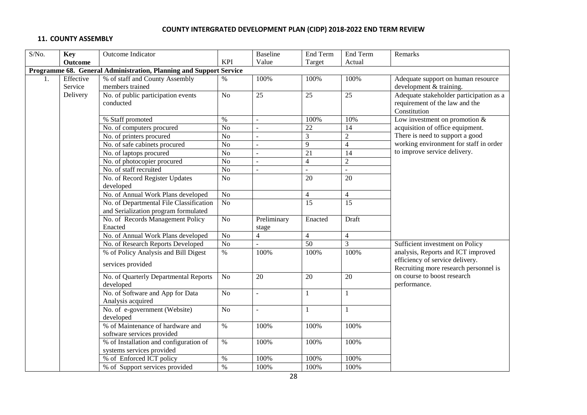### **11. COUNTY ASSEMBLY**

| S/No.                                                              | Key                  | Outcome Indicator                                                               |                 | Baseline                 | End Term        | End Term        | Remarks                                                                                   |  |  |
|--------------------------------------------------------------------|----------------------|---------------------------------------------------------------------------------|-----------------|--------------------------|-----------------|-----------------|-------------------------------------------------------------------------------------------|--|--|
|                                                                    | <b>Outcome</b>       |                                                                                 | <b>KPI</b>      | Value                    | Target          | Actual          |                                                                                           |  |  |
| Programme 68. General Administration, Planning and Support Service |                      |                                                                                 |                 |                          |                 |                 |                                                                                           |  |  |
| 1.                                                                 | Effective<br>Service | % of staff and County Assembly<br>members trained                               | %               | 100%                     | 100%            | 100%            | Adequate support on human resource<br>development & training.                             |  |  |
|                                                                    | Delivery             | No. of public participation events<br>conducted                                 | No              | $\overline{25}$          | 25              | $\overline{25}$ | Adequate stakeholder participation as a<br>requirement of the law and the<br>Constitution |  |  |
|                                                                    |                      | % Staff promoted                                                                | $\%$            | $\blacksquare$           | 100%            | 10%             | Low investment on promotion $&$                                                           |  |  |
|                                                                    |                      | No. of computers procured                                                       | No              | $\sim$                   | 22              | 14              | acquisition of office equipment.                                                          |  |  |
|                                                                    |                      | No. of printers procured                                                        | $\rm No$        | $\overline{\phantom{a}}$ | 3               | $\overline{2}$  | There is need to support a good                                                           |  |  |
|                                                                    |                      | No. of safe cabinets procured                                                   | No              | $\sim$                   | 9               | $\overline{4}$  | working environment for staff in order                                                    |  |  |
|                                                                    |                      | No. of laptops procured                                                         | No              | $\sim$                   | $\overline{21}$ | 14              | to improve service delivery.                                                              |  |  |
|                                                                    |                      | No. of photocopier procured                                                     | No              | $\bar{\phantom{a}}$      | $\overline{4}$  | $\overline{2}$  |                                                                                           |  |  |
|                                                                    |                      | No. of staff recruited                                                          | No              | $\overline{a}$           |                 | $\sim$          |                                                                                           |  |  |
|                                                                    |                      | No. of Record Register Updates<br>developed                                     | N <sub>o</sub>  |                          | 20              | 20              |                                                                                           |  |  |
|                                                                    |                      | No. of Annual Work Plans developed                                              | N <sub>o</sub>  |                          | $\overline{4}$  | $\overline{4}$  |                                                                                           |  |  |
|                                                                    |                      | No. of Departmental File Classification<br>and Serialization program formulated | $\overline{No}$ |                          | $\overline{15}$ | $\overline{15}$ |                                                                                           |  |  |
|                                                                    |                      | No. of Records Management Policy<br>Enacted                                     | No              | Preliminary<br>stage     | Enacted         | Draft           |                                                                                           |  |  |
|                                                                    |                      | No. of Annual Work Plans developed                                              | No              | $\overline{4}$           | $\overline{4}$  | $\overline{4}$  |                                                                                           |  |  |
|                                                                    |                      | No. of Research Reports Developed                                               | No              |                          | 50              | $\overline{3}$  | Sufficient investment on Policy                                                           |  |  |
|                                                                    |                      | % of Policy Analysis and Bill Digest                                            | $\%$            | 100%                     | 100%            | 100%            | analysis, Reports and ICT improved                                                        |  |  |
|                                                                    |                      | services provided                                                               |                 |                          |                 |                 | efficiency of service delivery.<br>Recruiting more research personnel is                  |  |  |
|                                                                    |                      | No. of Quarterly Departmental Reports<br>developed                              | N <sub>o</sub>  | $\overline{20}$          | 20              | 20              | on course to boost research<br>performance.                                               |  |  |
|                                                                    |                      | No. of Software and App for Data<br>Analysis acquired                           | No              | J.                       | 1               |                 |                                                                                           |  |  |
|                                                                    |                      | No. of e-government (Website)<br>developed                                      | No              | $\sim$                   | $\mathbf{1}$    | $\mathbf{1}$    |                                                                                           |  |  |
|                                                                    |                      | % of Maintenance of hardware and<br>software services provided                  | $\%$            | 100%                     | 100%            | 100%            |                                                                                           |  |  |
|                                                                    |                      | % of Installation and configuration of<br>systems services provided             | $\%$            | 100%                     | 100%            | 100%            |                                                                                           |  |  |
|                                                                    |                      | % of Enforced ICT policy                                                        | $\%$            | 100%                     | 100%            | 100%            |                                                                                           |  |  |
|                                                                    |                      | % of Support services provided                                                  | $\%$            | 100%                     | 100%            | 100%            |                                                                                           |  |  |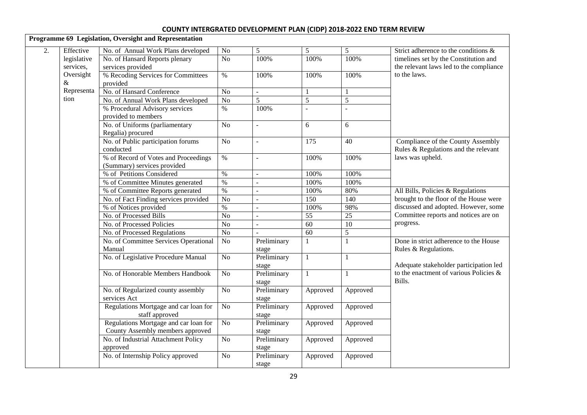|    |             | Programme 69 Legislation, Oversight and Representation |                    |                          |                 |                |                                                                                  |
|----|-------------|--------------------------------------------------------|--------------------|--------------------------|-----------------|----------------|----------------------------------------------------------------------------------|
| 2. | Effective   | No. of Annual Work Plans developed                     | N <sub>o</sub>     | 5                        | 5               | 5              | Strict adherence to the conditions &                                             |
|    | legislative | No. of Hansard Reports plenary                         | $\overline{No}$    | 100%                     | 100%            | 100%           | timelines set by the Constitution and                                            |
|    | services,   | services provided                                      |                    |                          |                 |                | the relevant laws led to the compliance<br>to the laws.                          |
|    | Oversight   | % Recoding Services for Committees                     | $\%$               | 100%                     | 100%            | 100%           |                                                                                  |
|    | &           | provided                                               |                    |                          |                 |                |                                                                                  |
|    | Representa  | No. of Hansard Conference                              | $\overline{No}$    | ÷.                       |                 |                |                                                                                  |
|    | tion        | No. of Annual Work Plans developed                     | N <sub>o</sub>     | 5                        | $\overline{5}$  | $\overline{5}$ |                                                                                  |
|    |             | % Procedural Advisory services                         | $\frac{0}{6}$      | 100%                     |                 |                |                                                                                  |
|    |             | provided to members                                    |                    |                          |                 |                |                                                                                  |
|    |             | No. of Uniforms (parliamentary                         | N <sub>o</sub>     | $\mathbb{L}^2$           | 6               | 6              |                                                                                  |
|    |             | Regalia) procured                                      |                    |                          |                 |                |                                                                                  |
|    |             | No. of Public participation forums                     | N <sub>o</sub>     | $\overline{\phantom{a}}$ | 175             | 40             | Compliance of the County Assembly                                                |
|    |             | conducted                                              |                    |                          |                 |                | Rules & Regulations and the relevant                                             |
|    |             | % of Record of Votes and Proceedings                   | $\%$               | L.                       | 100%            | 100%           | laws was upheld.                                                                 |
|    |             | (Summary) services provided                            |                    |                          |                 |                |                                                                                  |
|    |             | % of Petitions Considered                              | $\%$               | $\equiv$                 | 100%            | 100%           |                                                                                  |
|    |             | % of Committee Minutes generated                       | $\%$               | L.                       | 100%            | 100%           |                                                                                  |
|    |             | % of Committee Reports generated                       | $\%$               | ÷,                       | 100%            | 80%            | All Bills, Policies & Regulations                                                |
|    |             | No. of Fact Finding services provided                  | $\overline{No}$    | ÷.                       | 150             | 140            | brought to the floor of the House were                                           |
|    |             | % of Notices provided                                  | $\%$               | ÷.                       | 100%            | 98%            | discussed and adopted. However, some                                             |
|    |             | No. of Processed Bills                                 | $\overline{No}$    | L.                       | $\overline{55}$ | 25             | Committee reports and notices are on                                             |
|    |             | No. of Processed Policies                              | N <sub>o</sub>     |                          | 60              | 10             | progress.                                                                        |
|    |             | No. of Processed Regulations                           | N <sub>o</sub>     | $\overline{a}$           | 60              | $\overline{5}$ |                                                                                  |
|    |             | No. of Committee Services Operational                  | N <sub>o</sub>     | Preliminary              |                 | $\overline{1}$ | Done in strict adherence to the House                                            |
|    |             | Manual                                                 |                    | stage                    |                 |                | Rules & Regulations.                                                             |
|    |             | No. of Legislative Procedure Manual                    | $\rm No$           | Preliminary              | $\mathbf{1}$    | $\mathbf{1}$   | Adequate stakeholder participation led<br>to the enactment of various Policies & |
|    |             |                                                        |                    | stage                    |                 |                |                                                                                  |
|    |             | No. of Honorable Members Handbook                      | $\overline{No}$    | Preliminary              |                 | $\mathbf{1}$   |                                                                                  |
|    |             |                                                        |                    | stage                    |                 |                | Bills.                                                                           |
|    |             | No. of Regularized county assembly                     | $\overline{No}$    | Preliminary              | Approved        | Approved       |                                                                                  |
|    |             | services Act                                           |                    | stage                    |                 |                |                                                                                  |
|    |             | Regulations Mortgage and car loan for                  | $\rm No$           | Preliminary              | Approved        | Approved       |                                                                                  |
|    |             | staff approved                                         |                    | stage                    |                 |                |                                                                                  |
|    |             | Regulations Mortgage and car loan for                  | $\overline{No}$    | Preliminary              | Approved        | Approved       |                                                                                  |
|    |             | County Assembly members approved                       |                    | stage                    |                 |                |                                                                                  |
|    |             | No. of Industrial Attachment Policy                    | $\overline{N_{0}}$ | Preliminary              | Approved        | Approved       |                                                                                  |
|    |             | approved                                               |                    | stage                    |                 |                |                                                                                  |
|    |             | No. of Internship Policy approved                      | N <sub>o</sub>     | Preliminary              | Approved        | Approved       |                                                                                  |
|    |             |                                                        |                    | stage                    |                 |                |                                                                                  |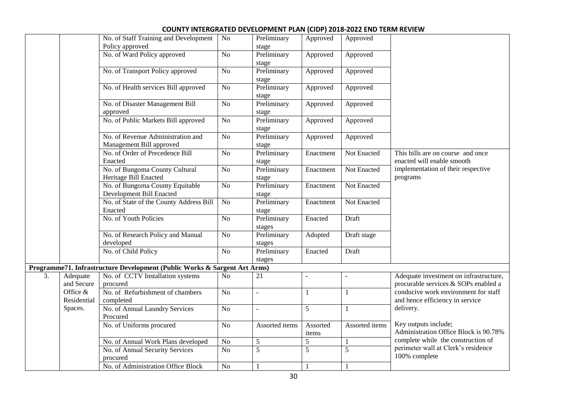|    |                         | No. of Staff Training and Development<br>Policy approved                  | $\overline{No}$ | Preliminary<br>stage  | Approved          | Approved       |                                                                                |
|----|-------------------------|---------------------------------------------------------------------------|-----------------|-----------------------|-------------------|----------------|--------------------------------------------------------------------------------|
|    |                         | No. of Ward Policy approved                                               | $\overline{No}$ | Preliminary<br>stage  | Approved          | Approved       |                                                                                |
|    |                         | No. of Transport Policy approved                                          | $\rm No$        | Preliminary<br>stage  | Approved          | Approved       |                                                                                |
|    |                         | No. of Health services Bill approved                                      | $\overline{No}$ | Preliminary<br>stage  | Approved          | Approved       |                                                                                |
|    |                         | No. of Disaster Management Bill<br>approved                               | $\overline{No}$ | Preliminary<br>stage  | Approved          | Approved       |                                                                                |
|    |                         | No. of Public Markets Bill approved                                       | $\rm No$        | Preliminary<br>stage  | Approved          | Approved       |                                                                                |
|    |                         | No. of Revenue Administration and<br>Management Bill approved             | N <sub>o</sub>  | Preliminary<br>stage  | Approved          | Approved       |                                                                                |
|    |                         | No. of Order of Precedence Bill<br>Enacted                                | $\overline{No}$ | Preliminary<br>stage  | Enactment         | Not Enacted    | This bills are on course and once<br>enacted will enable smooth                |
|    |                         | No. of Bungoma County Cultural<br>Heritage Bill Enacted                   | N <sub>o</sub>  | Preliminary<br>stage  | Enactment         | Not Enacted    | implementation of their respective<br>programs                                 |
|    |                         | No. of Bungoma County Equitable<br>Development Bill Enacted               | $\overline{No}$ | Preliminary<br>stage  | Enactment         | Not Enacted    |                                                                                |
|    |                         | No. of State of the County Address Bill<br>Enacted                        | No              | Preliminary<br>stage  | Enactment         | Not Enacted    |                                                                                |
|    |                         | No. of Youth Policies                                                     | $\overline{No}$ | Preliminary<br>stages | Enacted           | Draft          |                                                                                |
|    |                         | No. of Research Policy and Manual<br>developed                            | $\overline{No}$ | Preliminary<br>stages | Adopted           | Draft stage    |                                                                                |
|    |                         | No. of Child Policy                                                       | N <sub>o</sub>  | Preliminary<br>stages | Enacted           | Draft          |                                                                                |
|    |                         | Programme71. Infrastructure Development (Public Works & Sargent Art Arms) |                 |                       |                   |                |                                                                                |
| 3. | Adequate<br>and Secure  | No. of CCTV Installation systems<br>procured                              | N <sub>o</sub>  | 21                    |                   |                | Adequate investment on infrastructure,<br>procurable services & SOPs enabled a |
|    | Office &<br>Residential | No. of Refurbishment of chambers<br>completed                             | $\overline{No}$ | $\overline{a}$        | $\mathbf{1}$      | $\mathbf{1}$   | conducive work environment for staff<br>and hence efficiency in service        |
|    | Spaces.                 | No. of Annual Laundry Services<br>Procured                                | $\rm No$        |                       | 5                 | $\mathbf{1}$   | delivery.                                                                      |
|    |                         | No. of Uniforms procured                                                  | $\overline{No}$ | Assorted items        | Assorted<br>items | Assorted items | Key outputs include;<br>Administration Office Block is 90.78%                  |
|    |                         | No. of Annual Work Plans developed                                        | N <sub>0</sub>  | $\sqrt{5}$            | 5                 | $\mathbf 1$    | complete while the construction of                                             |
|    |                         | No. of Annual Security Services<br>procured                               | $\overline{No}$ | $\overline{5}$        | $\overline{5}$    | $\overline{5}$ | perimeter wall at Clerk's residence<br>100% complete                           |
|    |                         | No. of Administration Office Block                                        | N <sub>o</sub>  | 1                     |                   | 1              |                                                                                |